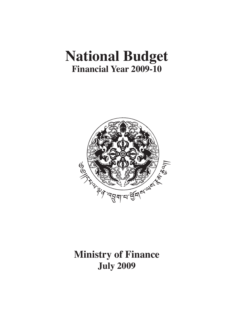# **National Budget Financial Year 2009-10**



## **Ministry of Finance July 2009**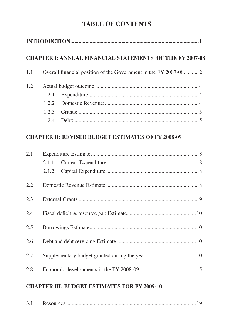## **Table of Contents**

|     |       | <b>CHAPTER I: ANNUAL FINANCIAL STATEMENTS OF THE FY 2007-08</b> |  |
|-----|-------|-----------------------------------------------------------------|--|
| 1.1 |       | Overall financial position of the Government in the FY 2007-08. |  |
| 1.2 |       |                                                                 |  |
|     | 1.2.1 |                                                                 |  |
|     |       |                                                                 |  |
|     | 1.2.3 |                                                                 |  |
|     |       |                                                                 |  |
|     |       | <b>CHAPTER II: REVISED BUDGET ESTIMATES OF FY 2008-09</b>       |  |

| 2.1 |  |  |
|-----|--|--|
|     |  |  |
|     |  |  |
| 2.2 |  |  |
| 2.3 |  |  |
| 2.4 |  |  |
| 2.5 |  |  |
| 2.6 |  |  |
| 2.7 |  |  |
| 2.8 |  |  |

## **CHAPTER III: BUDGET ESTIMATES FOR FY 2009-10**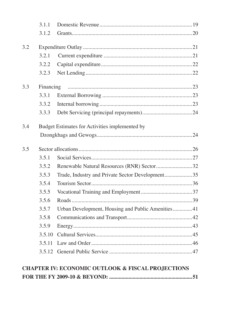|     | 3.1.1     |                                                   |  |
|-----|-----------|---------------------------------------------------|--|
|     | 3.1.2     |                                                   |  |
| 3.2 |           |                                                   |  |
|     | 3.2.1     |                                                   |  |
|     | 3.2.2     |                                                   |  |
|     | 3.2.3     |                                                   |  |
| 3.3 | Financing |                                                   |  |
|     | 3.3.1     |                                                   |  |
|     | 3.3.2     |                                                   |  |
|     | 3.3.3     |                                                   |  |
| 3.4 |           | Budget Estimates for Activities implemented by    |  |
|     |           |                                                   |  |
| 3.5 |           |                                                   |  |
|     |           |                                                   |  |
|     | 3.5.1     |                                                   |  |
|     | 3.5.2     | Renewable Natural Resources (RNR) Sector 32       |  |
|     | 3.5.3     | Trade, Industry and Private Sector Development35  |  |
|     | 3.5.4     |                                                   |  |
|     | 3.5.5     |                                                   |  |
|     | 3.5.6     |                                                   |  |
|     | 3.5.7     | Urban Development, Housing and Public Amenities41 |  |
|     | 3.5.8     |                                                   |  |
|     | 3.5.9     |                                                   |  |
|     | 3.5.10    |                                                   |  |
|     | 3.5.11    |                                                   |  |
|     |           |                                                   |  |

## **CHAPTER IV: ECONOMIC OUTLOOK & FISCAL PROJECTIONS**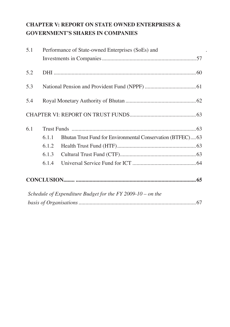## **CHAPTER V: REPORT ON STATE OWNED ENTERPRISES & GOVERNMENT'S SHARES IN COMPANIES**

| 5.1 |       | Performance of State-owned Enterprises (SoEs) and          |  |
|-----|-------|------------------------------------------------------------|--|
|     |       |                                                            |  |
| 5.2 |       |                                                            |  |
| 5.3 |       |                                                            |  |
| 5.4 |       |                                                            |  |
|     |       |                                                            |  |
| 6.1 |       |                                                            |  |
|     | 6.1.1 | Bhutan Trust Fund for Environmental Conservation (BTFEC)63 |  |
|     | 6.1.2 |                                                            |  |
|     | 6.1.3 |                                                            |  |
|     | 6.1.4 |                                                            |  |
|     |       |                                                            |  |
|     |       | Schedule of Expenditure Budget for the FY 2009-10 – on the |  |
|     |       |                                                            |  |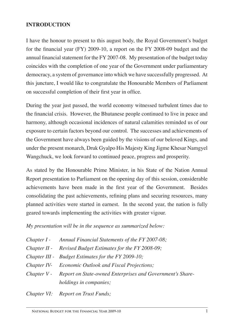## **INTRODUCTION**

I have the honour to present to this august body, the Royal Government's budget for the financial year (FY) 2009-10, a report on the FY 2008-09 budget and the annual financial statement for the FY 2007-08. My presentation of the budget today coincides with the completion of one year of the Government under parliamentary democracy, a system of governance into which we have successfully progressed. At this juncture, I would like to congratulate the Honourable Members of Parliament on successful completion of their first year in office.

During the year just passed, the world economy witnessed turbulent times due to the financial crisis. However, the Bhutanese people continued to live in peace and harmony, although occasional incidences of natural calamities reminded us of our exposure to certain factors beyond our control. The successes and achievements of the Government have always been guided by the visions of our beloved Kings, and under the present monarch, Druk Gyalpo His Majesty King Jigme Khesar Namgyel Wangchuck, we look forward to continued peace, progress and prosperity.

As stated by the Honourable Prime Minister, in his State of the Nation Annual Report presentation to Parliament on the opening day of this session, considerable achievements have been made in the first year of the Government. Besides consolidating the past achievements, refining plans and securing resources, many planned activities were started in earnest. In the second year, the nation is fully geared towards implementing the activities with greater vigour.

*My presentation will be in the sequence as summarized below:* 

| Chapter I - Annual Financial Statements of the FY 2007-08;            |
|-----------------------------------------------------------------------|
| Chapter II - Revised Budget Estimates for the FY 2008-09;             |
| Chapter III - Budget Estimates for the FY 2009-10;                    |
| Chapter IV- Economic Outlook and Fiscal Projections;                  |
| Chapter V - Report on State-owned Enterprises and Government's Share- |
| holdings in companies;                                                |
| $\alpha$ $\alpha$ $\alpha$ $\alpha$ $\alpha$                          |

*Chapter VI: Report on Trust Funds;*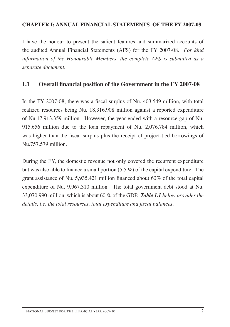#### **CHAPTER I: ANNUAL FINANCIAL STATEMENTS OF THE FY 2007-08**

I have the honour to present the salient features and summarized accounts of the audited Annual Financial Statements (AFS) for the FY 2007-08. *For kind information of the Honourable Members, the complete AFS is submitted as a separate document.*

## **1.1 Overall financial position of the Government in the FY 2007-08**

In the FY 2007-08, there was a fiscal surplus of Nu. 403.549 million, with total realized resources being Nu. 18,316.908 million against a reported expenditure of Nu.17,913.359 million. However, the year ended with a resource gap of Nu. 915.656 million due to the loan repayment of Nu. 2,076.784 million, which was higher than the fiscal surplus plus the receipt of project-tied borrowings of Nu.757.579 million.

During the FY, the domestic revenue not only covered the recurrent expenditure but was also able to finance a small portion (5.5 %) of the capital expenditure. The grant assistance of Nu. 5,935.421 million financed about 60% of the total capital expenditure of Nu. 9,967.310 million. The total government debt stood at Nu. 33,070.990 million, which is about 60 % of the GDP. *Table 1.1 below provides the details, i.e. the total resources, total expenditure and fiscal balances.*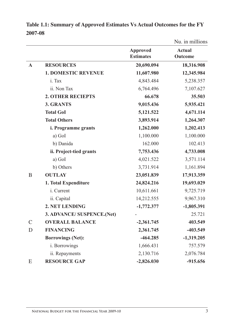|               |                            |                                     | Nu. in millions          |
|---------------|----------------------------|-------------------------------------|--------------------------|
|               |                            | <b>Approved</b><br><b>Estimates</b> | <b>Actual</b><br>Outcome |
| $\mathbf{A}$  | <b>RESOURCES</b>           | 20,690.094                          | 18,316.908               |
|               | <b>1. DOMESTIC REVENUE</b> | 11,607.980                          | 12,345.984               |
|               | i. Tax                     | 4,843.484                           | 5,238.357                |
|               | ii. Non Tax                | 6,764.496                           | 7,107.627                |
|               | <b>2. OTHER RECIEPTS</b>   | 66.678                              | 35.503                   |
|               | 3. GRANTS                  | 9,015.436                           | 5,935.421                |
|               | <b>Total GoI</b>           | 5,121.522                           | 4,671.114                |
|               | <b>Total Others</b>        | 3,893.914                           | 1,264.307                |
|               | <i>i.</i> Programme grants | 1,262.000                           | 1,202.413                |
|               | a) GoI                     | 1,100.000                           | 1,100.000                |
|               | b) Danida                  | 162.000                             | 102.413                  |
|               | ii. Project-tied grants    | 7,753.436                           | 4,733.008                |
|               | a) GoI                     | 4,021.522                           | 3,571.114                |
|               | b) Others                  | 3,731.914                           | 1,161.894                |
| B             | <b>OUTLAY</b>              | 23,051.839                          | 17,913.359               |
|               | 1. Total Expenditure       | 24,824.216                          | 19,693.029               |
|               | i. Current                 | 10,611.661                          | 9,725.719                |
|               | ii. Capital                | 14,212.555                          | 9,967.310                |
|               | 2. NET LENDING             | $-1,772.377$                        | $-1,805.391$             |
|               | 3. ADVANCE/ SUSPENCE.(Net) |                                     | 25.721                   |
| $\mathcal{C}$ | <b>OVERALL BALANCE</b>     | $-2,361.745$                        | 403.549                  |
| D             | <b>FINANCING</b>           | 2,361.745                           | $-403.549$               |
|               | <b>Borrowings (Net):</b>   | $-464.285$                          | $-1,319.205$             |
|               | i. Borrowings              | 1,666.431                           | 757.579                  |
|               | ii. Repayments             | 2,130.716                           | 2,076.784                |
| E             | <b>RESOURCE GAP</b>        | $-2,826.030$                        | $-915.656$               |

**Table 1.1: Summary of Approved Estimates Vs Actual Outcomes for the FY 2007-08**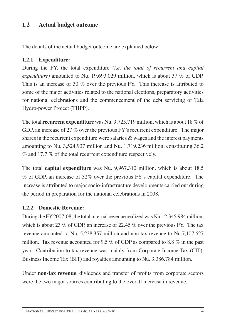## 1.2 Actual budget outcome

The details of the actual budget outcome are explained below:

## **1.2.1 Expenditure:**

During the FY, the total expenditure (*i.e. the total of recurrent and capital expenditure)* amounted to Nu. 19,693.029 million, which is about 37 % of GDP. This is an increase of 30 % over the previous FY. This increase is attributed to some of the major activities related to the national elections, preparatory activities for national celebrations and the commencement of the debt servicing of Tala Hydro-power Project (THPP).

The total **recurrent expenditure** was Nu. 9,725.719 million, which is about 18 % of GDP, an increase of 27 % over the previous FY's recurrent expenditure. The major shares in the recurrent expenditure were salaries & wages and the interest payments amounting to Nu. 3,524.937 million and Nu. 1,719.236 million, constituting 36.2 % and 17.7 % of the total recurrent expenditure respectively.

The total **capital expenditure** was Nu. 9,967.310 million, which is about 18.5 % of GDP, an increase of 32% over the previous FY's capital expenditure. The increase is attributed to major socio-infrastructure developments carried out during the period in preparation for the national celebrations in 2008.

## **1.2.2 Domestic Revenue:**

During the FY 2007-08, the total internal revenue realized was Nu.12,345.984 million, which is about 23 % of GDP, an increase of 22.45 % over the previous FY. The tax revenue amounted to Nu. 5,238.357 million and non-tax revenue to Nu.7,107.627 million. Tax revenue accounted for 9.5 % of GDP as compared to 8.8 % in the past year. Contribution to tax revenue was mainly from Corporate Income Tax (CIT), Business Income Tax (BIT) and royalties amounting to Nu. 3,386.784 million.

Under **non-tax revenue**, dividends and transfer of profits from corporate sectors were the two major sources contributing to the overall increase in revenue.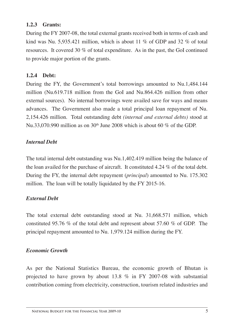## **1.2.3 Grants:**

During the FY 2007-08, the total external grants received both in terms of cash and kind was Nu. 5,935.421 million, which is about 11 % of GDP and 32 % of total resources. It covered 30 % of total expenditure. As in the past, the GoI continued to provide major portion of the grants.

## **1.2.4 Debt:**

During the FY, the Government's total borrowings amounted to Nu.1,484.144 million (Nu.619.718 million from the GoI and Nu.864.426 million from other external sources). No internal borrowings were availed save for ways and means advances. The Government also made a total principal loan repayment of Nu. 2,154.426 million. Total outstanding debt *(internal and external debts)* stood at Nu.33,070.990 million as on  $30<sup>th</sup>$  June 2008 which is about 60 % of the GDP.

## *Internal Debt*

The total internal debt outstanding was Nu.1,402.419 million being the balance of the loan availed for the purchase of aircraft. It constituted 4.24 % of the total debt. During the FY, the internal debt repayment (*principal*) amounted to Nu. 175.302 million. The loan will be totally liquidated by the FY 2015-16.

## *External Debt*

The total external debt outstanding stood at Nu. 31,668.571 million, which constituted 95.76 % of the total debt and represent about 57.60 % of GDP. The principal repayment amounted to Nu. 1,979.124 million during the FY.

## *Economic Growth*

As per the National Statistics Bureau, the economic growth of Bhutan is projected to have grown by about 13.8 % in FY 2007-08 with substantial contribution coming from electricity, construction, tourism related industries and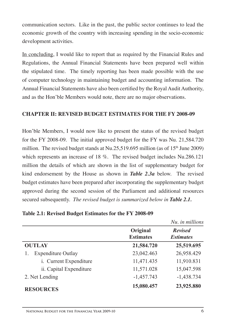communication sectors. Like in the past, the public sector continues to lead the economic growth of the country with increasing spending in the socio-economic development activities.

In concluding, I would like to report that as required by the Financial Rules and Regulations, the Annual Financial Statements have been prepared well within the stipulated time. The timely reporting has been made possible with the use of computer technology in maintaining budget and accounting information. The Annual Financial Statements have also been certified by the Royal Audit Authority, and as the Hon'ble Members would note, there are no major observations.

## **CHAPTER II: REVISED BUDGET ESTIMATES for the FY 2008-09**

Hon'ble Members, I would now like to present the status of the revised budget for the FY 2008-09. The initial approved budget for the FY was Nu. 21,584.720 million. The revised budget stands at Nu.25,519.695 million (as of 15th June 2009) which represents an increase of 18 %. The revised budget includes Nu.286.121 million the details of which are shown in the list of supplementary budget for kind endorsement by the House as shown in *Table 2.3a* below. The revised budget estimates have been prepared after incorporating the supplementary budget approved during the second session of the Parliament and additional resources secured subsequently. *The revised budget is summarized below in Table 2.1.*

|                           |                              | Nu. in millions                    |
|---------------------------|------------------------------|------------------------------------|
|                           | Original<br><b>Estimates</b> | <b>Revised</b><br><b>Estimates</b> |
| <b>OUTLAY</b>             | 21,584.720                   | 25,519.695                         |
| <b>Expenditure Outlay</b> | 23,042.463                   | 26,958.429                         |
| i. Current Expenditure    | 11,471.435                   | 11,910.831                         |
| ii. Capital Expenditure   | 11,571.028                   | 15,047.598                         |
| 2. Net Lending            | $-1,457.743$                 | $-1,438.734$                       |
| <b>RESOURCES</b>          | 15,080.457                   | 23,925.880                         |

**Table 2.1: Revised Budget Estimates for the FY 2008-09**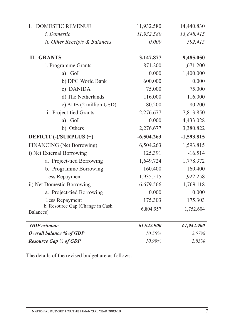| <b>DOMESTIC REVENUE</b><br>L                 | 11,932.580   | 14,440.830   |
|----------------------------------------------|--------------|--------------|
| i. Domestic                                  | 11,932.580   | 13,848.415   |
| <i>ii. Other Receipts &amp; Balances</i>     | 0.000        | 592.415      |
| <b>II. GRANTS</b>                            | 3,147.877    | 9,485.050    |
| i. Programme Grants                          | 871.200      | 1,671.200    |
| a) GoI                                       | 0.000        | 1,400.000    |
| b) DPG World Bank                            | 600.000      | 0.000        |
| c) DANIDA                                    | 75.000       | 75.000       |
| d) The Netherlands                           | 116.000      | 116.000      |
| e) ADB (2 million USD)                       | 80.200       | 80.200       |
| ii. Project-tied Grants                      | 2,276.677    | 7,813.850    |
| a) GoI                                       | 0.000        | 4,433.028    |
| b) Others                                    | 2,276.677    | 3,380.822    |
| DEFICIT (-)/SURPLUS (+)                      | $-6,504.263$ | $-1,593.815$ |
| <b>FINANCING</b> (Net Borrowing)             | 6,504.263    | 1,593.815    |
| i) Net External Borrowing                    | 125.391      | $-16.514$    |
| a. Project-tied Borrowing                    | 1,649.724    | 1,778.372    |
| b. Programme Borrowing                       | 160.400      | 160.400      |
| Less Repayment                               | 1,935.515    | 1,922.258    |
| ii) Net Domestic Borrowing                   | 6,679.566    | 1,769.118    |
| a. Project-tied Borrowing                    | 0.000        | 0.000        |
| Less Repayment                               | 175.303      | 175.303      |
| b. Resource Gap (Change in Cash<br>Balances) | 6,804.957    | 1,752.604    |
| <b>GDP</b> estimate                          | 61,942.900   | 61,942.900   |
| Overall balance % of GDP                     | 10.50%       | 2.57%        |
| <b>Resource Gap % of GDP</b>                 | 10.99%       | 2.83%        |

The details of the revised budget are as follows: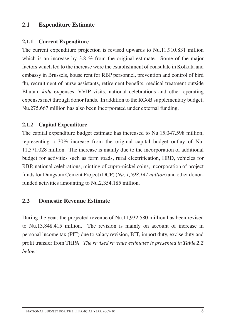## **2.1 Expenditure Estimate**

## **2.1.1 Current Expenditure**

The current expenditure projection is revised upwards to Nu.11,910.831 million which is an increase by 3.8 % from the original estimate. Some of the major factors which led to the increase were the establishment of consulate in Kolkata and embassy in Brussels, house rent for RBP personnel, prevention and control of bird flu, recruitment of nurse assistants, retirement benefits, medical treatment outside Bhutan, *kidu* expenses, VVIP visits, national celebrations and other operating expenses met through donor funds. In addition to the RGoB supplementary budget, Nu.275.667 million has also been incorporated under external funding.

## **2.1.2 Capital Expenditure**

The capital expenditure budget estimate has increased to Nu.15,047.598 million, representing a 30% increase from the original capital budget outlay of Nu. 11,571.028 million. The increase is mainly due to the incorporation of additional budget for activities such as farm roads, rural electrification, HRD, vehicles for RBP, national celebrations, minting of cupro-nickel coins, incorporation of project funds for Dungsum Cement Project (DCP) (*Nu. 1,598.141 million*) and other donorfunded activities amounting to Nu.2,354.185 million.

## **2.2 Domestic Revenue Estimate**

During the year, the projected revenue of Nu.11,932.580 million has been revised to Nu.13,848.415 million. The revision is mainly on account of increase in personal income tax (PIT) due to salary revision, BIT, import duty, excise duty and profit transfer from THPA. *The revised revenue estimates is presented in Table 2.2 below:*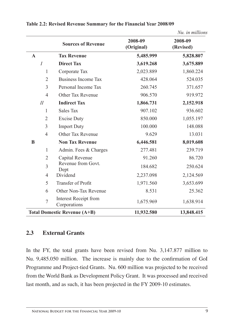|                |                                              |                       | Nu. in millions      |
|----------------|----------------------------------------------|-----------------------|----------------------|
|                | <b>Sources of Revenue</b>                    | 2008-09<br>(Original) | 2008-09<br>(Revised) |
| $\mathbf{A}$   | <b>Tax Revenue</b>                           | 5,485.999             | 5,828.807            |
| $\overline{I}$ | <b>Direct Tax</b>                            | 3,619.268             | 3,675.889            |
| 1              | Corporate Tax                                | 2,023.889             | 1,860.224            |
| $\overline{2}$ | <b>Business Income Tax</b>                   | 428.064               | 524.035              |
| 3              | Personal Income Tax                          | 260.745               | 371.657              |
| $\overline{4}$ | Other Tax Revenue                            | 906.570               | 919.972              |
| $I\!I$         | <b>Indirect Tax</b>                          | 1,866.731             | 2,152.918            |
| $\mathbf{1}$   | <b>Sales Tax</b>                             | 907.102               | 936.602              |
| $\overline{2}$ | <b>Excise Duty</b>                           | 850.000               | 1,055.197            |
| 3              | <b>Import Duty</b>                           | 100.000               | 148.088              |
| 4              | Other Tax Revenue                            | 9.629                 | 13.031               |
| B              | <b>Non Tax Revenue</b>                       | 6,446.581             | 8,019.608            |
| $\mathbf{1}$   | Admin. Fees & Charges                        | 277.481               | 239.719              |
| $\overline{2}$ | Capital Revenue                              | 91.260                | 86.720               |
| 3              | Revenue from Govt.<br>Dept                   | 184.682               | 250.624              |
| 4              | Dividend                                     | 2,237.098             | 2,124.569            |
| 5              | <b>Transfer of Profit</b>                    | 1,971.560             | 3,653.699            |
| 6              | Other Non-Tax Revenue                        | 8.531                 | 25.362               |
| $\overline{7}$ | <b>Interest Receipt from</b><br>Corporations | 1,675.969             | 1,638.914            |
|                | <b>Total Domestic Revenue (A+B)</b>          | 11,932.580            | 13,848.415           |

#### **Table 2.2: Revised Revenue Summary for the Financial Year 2008/09**

#### **2.3 External Grants**

In the FY, the total grants have been revised from Nu. 3,147.877 million to Nu. 9,485.050 million. The increase is mainly due to the confirmation of GoI Programme and Project-tied Grants. Nu. 600 million was projected to be received from the World Bank as Development Policy Grant. It was processed and received last month, and as such, it has been projected in the FY 2009-10 estimates.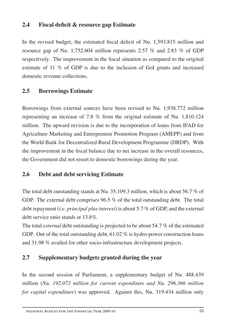## **2.4 Fiscal deficit & resource gap Estimate**

In the revised budget, the estimated fiscal deficit of Nu. 1,593.815 million and resource gap of Nu. 1,752.604 million represents 2.57 % and 2.83 % of GDP respectively. The improvement in the fiscal situation as compared to the original estimate of 11 % of GDP is due to the inclusion of GoI grants and increased domestic revenue collections.

## **2.5 Borrowings Estimate**

Borrowings from external sources have been revised to Nu. 1,938.772 million representing an increase of 7.8 % from the original estimate of Nu. 1,810.124 million. The upward revision is due to the incorporation of loans from IFAD for Agriculture Marketing and Entrepreneur Promotion Program (AMEPP) and from the World Bank for Decentralized Rural Development Programme (DRDP). With the improvement in the fiscal balance due to net increase in the overall resources, the Government did not resort to domestic borrowings during the year.

## **2.6 Debt and debt servicing Estimate**

The total debt outstanding stands at Nu. 35,109.3 million, which is about 56.7 % of GDP. The external debt comprises 96.5 % of the total outstanding debt. The total debt repayment (*i.e. principal plus interest*) is about 5.7 % of GDP, and the external debt service ratio stands at 13.8%.

The total *external* debt outstanding is projected to be about 54.7 % of the estimated GDP. Out of the total outstanding debt, 61.02 % is hydro-power construction loans and 31.98 % availed for other socio-infrastructure development projects.

## **2.7 Supplementary budgets granted during the year**

In the second session of Parliament, a supplementary budget of Nu. 488.439 million (*Nu. 192.073 million for current expenditure and Nu. 296.366 million for capital expenditure*) was approved. Against this, Nu. 319.434 million only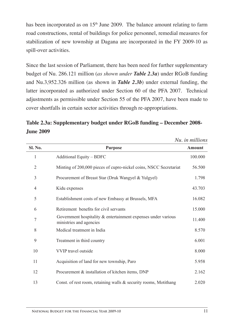has been incorporated as on  $15<sup>th</sup>$  June 2009. The balance amount relating to farm road constructions, rental of buildings for police personnel, remedial measures for stabilization of new township at Dagana are incorporated in the FY 2009-10 as spill-over activities.

Since the last session of Parliament, there has been need for further supplementary budget of Nu. 286.121 million (*as shown under Table 2.3a*) under RGoB funding and Nu.3,952.326 million (as shown in *Table 2.3b*) under external funding, the latter incorporated as authorized under Section 60 of the PFA 2007. Technical adjustments as permissible under Section 55 of the PFA 2007, have been made to cover shortfalls in certain sector activities through re-appropriations.

**Table 2.3a: Supplementary budget under RGoB funding – December 2008- June 2009**

|         |                                                                                             | Nu. in millions |
|---------|---------------------------------------------------------------------------------------------|-----------------|
| Sl. No. | <b>Purpose</b>                                                                              | Amount          |
| 1       | Additional Equity - BDFC                                                                    | 100.000         |
| 2       | Minting of 200,000 pieces of cupro-nickel coins, NSCC Secretariat                           | 56.500          |
| 3       | Procurement of Breast Star (Druk Wangyel & Yulgyel)                                         | 1.798           |
| 4       | Kidu expenses                                                                               | 43.703          |
| 5       | Establishment costs of new Embassy at Brussels, MFA                                         | 16.082          |
| 6       | Retirement benefits for civil servants                                                      | 15.000          |
| 7       | Government hospitality $\&$ entertainment expenses under various<br>ministries and agencies | 11.400          |
| 8       | Medical treatment in India                                                                  | 8.570           |
| 9       | Treatment in third country                                                                  | 6.001           |
| 10      | <b>VVIP</b> travel outside                                                                  | 8.000           |
| 11      | Acquisition of land for new township, Paro                                                  | 5.958           |
| 12      | Procurement & installation of kitchen items, DNP                                            | 2.162           |
| 13      | Const. of rest room, retaining walls $\&$ security rooms, Motithang                         | 2.020           |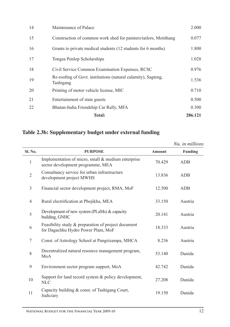|    | <b>Total:</b>                                                              | 286.121 |
|----|----------------------------------------------------------------------------|---------|
| 22 | Bhutan-India Friendship Car Rally, MFA                                     | 0.300   |
| 21 | Entertainment of state guests                                              | 0.500   |
| 20 | Printing of motor vehicle license, MIC                                     | 0.710   |
| 19 | Re-roofing of Govt. institutions (natural calamity), Sagteng,<br>Tashigang | 1.536   |
| 18 | Civil Service Common Examination Expenses, RCSC                            | 0.976   |
| 17 | Tongsa Penlop Scholarships                                                 | 1.028   |
| 16 | Grants to private medical students (12 students for 6 months)              | 1.800   |
| 15 | Construction of common work shed for painters/tailors, Motithang           | 0.077   |
| 14 | Maintenance of Palace                                                      | 2.000   |

## **Table 2.3b: Supplementary budget under external funding**

|                |                                                                                            |               | Nu. in millions |
|----------------|--------------------------------------------------------------------------------------------|---------------|-----------------|
| Sl. No.        | <b>PURPOSE</b>                                                                             | <b>Amount</b> | Funding         |
| 1              | Implementation of micro, small & medium enterprise<br>sector development programme, MEA    | 70.429        | ADB             |
| $\overline{2}$ | Consultancy service for urban infrastructure<br>development project MWHS                   | 13.836        | ADB             |
| 3              | Financial sector development project, RMA, MoF                                             | 12.500        | <b>ADB</b>      |
| 4              | Rural electrification at Phojikha, MEA                                                     | 33.150        | Austria         |
| 5              | Development of new system (PLaMs) & capacity<br>building, GNHC                             | 20.141        | Austria         |
| 6              | Feasibility study & preparation of project document<br>for Dagachhu Hydro Power Plant, MoF | 18.333        | Austria         |
| 7              | Const. of Astrology School at Pangrizampa, MHCA                                            | 8.236         | Austria         |
| 8              | Decentralized natural resource management program,<br>MoA                                  | 53.140        | Danida          |
| 9              | Environment sector program support, MoA                                                    | 42.742        | Danida          |
| 10             | Support for land record system & policy development,<br><b>NLC</b>                         | 27.208        | Danida          |
| 11             | Capacity building & const. of Tashigang Court,<br>Judiciary                                | 19.150        | Danida          |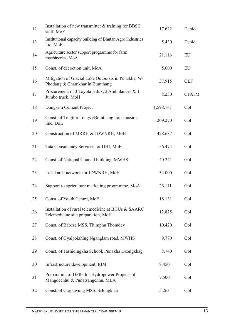| 12 | Installation of new transmitter & training for BBSC<br>staff, MoF                        | 17.622    | Danida       |
|----|------------------------------------------------------------------------------------------|-----------|--------------|
| 13 | Institutional capacity building of Bhutan Agro Industries<br>Ltd. MoF                    | 5.430     | Danida       |
| 14 | Agriculture sector support programme for farm<br>machineries, MoA                        | 21.116    | EU           |
| 15 | Const. of decoction unit, MoA                                                            | 5.000     | EU           |
| 16 | Mitigation of Glacial Lake Outbursts in Punakha, W/<br>Phodang & Chamkhar in Bumthang    | 37.915    | <b>GEF</b>   |
| 17 | Procurement of 3 Toyota Hilux, 2 Ambulances & 1<br>Jumbo truck, MoH                      | 8.230     | <b>GFATM</b> |
| 18 | Dungsam Cement Project                                                                   | 1,598.141 | GoI          |
| 19 | Const. of Tingtibi-Tongsa/Bumthang transmission<br>line, DoE                             | 209.270   | GoI          |
| 20 | Construction of MRRH & JDWNRH, MoH                                                       | 428.687   | GoI          |
| 21 | Tata Consultancy Services for DHI, MoF                                                   | 56.474    | GoI          |
| 22 | Const. of National Council building, MWHS                                                | 40.241    | GoI          |
| 23 | Local area network for JDWNRH, MoH                                                       | 34.000    | GoI          |
| 24 | Support to agriculture marketing programme, MoA                                          | 26.111    | GoI          |
| 25 | Const. of Youth Centre, MoE                                                              | 18.131    | GoI          |
| 26 | Installation of rural telemedicine at BHUs & SAARC<br>Telemedicine site preparation, MoH | 12.825    | GoI          |
| 27 | Const. of Babesa MSS, Thimphu Thomdey                                                    | 10.420    | GoI          |
| 28 | Const. of Gyalpoizhing Nganglam road, MWHS                                               | 9.770     | GoI          |
| 29 | Const. of Tashidingkha School, Punakha Dzongkhag                                         | 8.740     | GoI          |
| 30 | Infrastructure development, RIM                                                          | 8.450     | GoI          |
| 31 | Preparation of DPRs for Hydropower Projects of<br>Mangdechhu & Punatsangchhu, MEA        | 7.500     | GoI          |
| 32 | Const. of Garpawung MSS, S/Jongkhar                                                      | 5.263     | GoI          |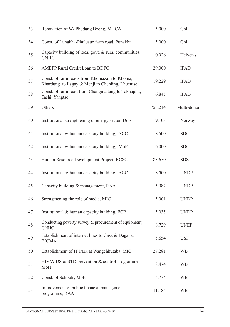| 33 | Renovation of W/ Phodang Dzong, MHCA                                                            | 5.000   | GoI         |
|----|-------------------------------------------------------------------------------------------------|---------|-------------|
| 34 | Const. of Lunakha-Phulusue farm road, Punakha                                                   | 5.000   | GoI         |
| 35 | Capacity building of local govt. & rural communities,<br><b>GNHC</b>                            | 10.926  | Helvetas    |
| 36 | AMEPP Rural Credit Loan to BDFC                                                                 | 29.000  | <b>IFAD</b> |
| 37 | Const. of farm roads from Khomazam to Khoma,<br>Khardung to Lagay & Menji to Chenling, Lhuentse | 19.229  | <b>IFAD</b> |
| 38 | Const. of farm road from Changmadung to Tokhaphu,<br>Tashi Yangtse                              | 6.845   | <b>IFAD</b> |
| 39 | Others                                                                                          | 753.214 | Multi-donor |
| 40 | Institutional strengthening of energy sector, DoE                                               | 9.103   | Norway      |
| 41 | Institutional & human capacity building, ACC                                                    | 8.500   | <b>SDC</b>  |
| 42 | Institutional & human capacity building, MoF                                                    | 6.000   | <b>SDC</b>  |
| 43 | Human Resource Development Project, RCSC                                                        | 83.650  | <b>SDS</b>  |
| 44 | Institutional & human capacity building, ACC                                                    | 8.500   | <b>UNDP</b> |
| 45 | Capacity building & management, RAA                                                             | 5.982   | <b>UNDP</b> |
| 46 | Strengthening the role of media, MIC                                                            | 5.901   | <b>UNDP</b> |
| 47 | Institutional & human capacity building, ECB                                                    | 5.035   | <b>UNDP</b> |
| 48 | Conducting poverty survey & procurement of equipment,<br><b>GNHC</b>                            | 8.729   | <b>UNEP</b> |
| 49 | Establishment of internet lines to Gasa & Dagana,<br><b>BICMA</b>                               | 5.654   | <b>USF</b>  |
| 50 | Establishment of IT Park at Wangchhutaba, MIC                                                   | 27.281  | <b>WB</b>   |
| 51 | HIV/AIDS & STD prevention & control programme,<br>MoH                                           | 18.474  | WB          |
| 52 | Const. of Schools, MoE                                                                          | 14.774  | WB          |
| 53 | Improvement of public financial management<br>programme, RAA                                    | 11.184  | WB          |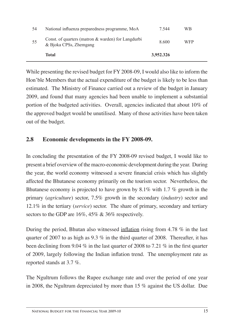| 54 | National influenza preparedness programme, MoA                               | 7.544     | WB         |
|----|------------------------------------------------------------------------------|-----------|------------|
| 55 | Const. of quarters (matron & warden) for Langdurbi<br>& Bjoka CPSs, Zhemgang | 8.600     | <b>WFP</b> |
|    | Total                                                                        | 3,952.326 |            |

While presenting the revised budget for FY 2008-09, I would also like to inform the Hon'ble Members that the actual expenditure of the budget is likely to be less than estimated. The Ministry of Finance carried out a review of the budget in January 2009, and found that many agencies had been unable to implement a substantial portion of the budgeted activities. Overall, agencies indicated that about 10% of the approved budget would be unutilised. Many of those activities have been taken out of the budget.

## **2.8 Economic developments in the FY 2008-09.**

In concluding the presentation of the FY 2008-09 revised budget, I would like to present a brief overview of the macro-economic development during the year. During the year, the world economy witnessed a severe financial crisis which has slightly affected the Bhutanese economy primarily on the tourism sector. Nevertheless, the Bhutanese economy is projected to have grown by 8.1% with 1.7 % growth in the primary (*agriculture*) sector, 7.5% growth in the secondary (*industry*) sector and 12.1% in the tertiary (*service*) sector. The share of primary, secondary and tertiary sectors to the GDP are 16%, 45% & 36% respectively.

During the period, Bhutan also witnessed inflation rising from 4.78 % in the last quarter of 2007 to as high as  $9.3\%$  in the third quarter of 2008. Thereafter, it has been declining from 9.04 % in the last quarter of 2008 to 7.21 % in the first quarter of 2009, largely following the Indian inflation trend. The unemployment rate as reported stands at 3.7 %.

The Ngultrum follows the Rupee exchange rate and over the period of one year in 2008, the Ngultrum depreciated by more than 15 % against the US dollar. Due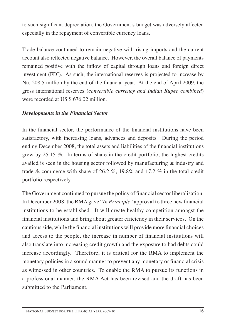to such significant depreciation, the Government's budget was adversely affected especially in the repayment of convertible currency loans.

Trade balance continued to remain negative with rising imports and the current account also reflected negative balance. However, the overall balance of payments remained positive with the inflow of capital through loans and foreign direct investment (FDI). As such, the international reserves is projected to increase by Nu. 208.5 million by the end of the financial year. At the end of April 2009, the gross international reserves (*convertible currency and Indian Rupee combined*) were recorded at US \$ 676.02 million.

## *Developments in the Financial Sector*

In the financial sector, the performance of the financial institutions have been satisfactory, with increasing loans, advances and deposits. During the period ending December 2008, the total assets and liabilities of the financial institutions grew by 25.15 %. In terms of share in the credit portfolio, the highest credits availed is seen in the housing sector followed by manufacturing & industry and trade & commerce with share of 26.2 %, 19.8% and 17.2 % in the total credit portfolio respectively.

The Government continued to pursue the policy of financial sector liberalisation. In December 2008, the RMA gave "*In Principle*" approval to three new financial institutions to be established. It will create healthy competition amongst the financial institutions and bring about greater efficiency in their services. On the cautious side, while the financial institutions will provide more financial choices and access to the people, the increase in number of financial institutions will also translate into increasing credit growth and the exposure to bad debts could increase accordingly. Therefore, it is critical for the RMA to implement the monetary policies in a sound manner to prevent any monetary or financial crisis as witnessed in other countries. To enable the RMA to pursue its functions in a professional manner, the RMA Act has been revised and the draft has been submitted to the Parliament.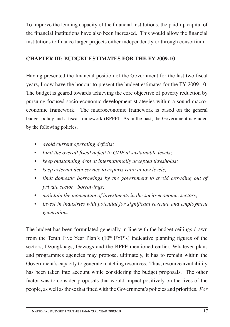To improve the lending capacity of the financial institutions, the paid-up capital of the financial institutions have also been increased. This would allow the financial institutions to finance larger projects either independently or through consortium.

## **CHAPTER III: BUDGET ESTIMATES FOR the FY 2009-10**

Having presented the financial position of the Government for the last two fiscal years, I now have the honour to present the budget estimates for the FY 2009-10. The budget is geared towards achieving the core objective of poverty reduction by pursuing focused socio-economic development strategies within a sound macroeconomic framework. The macroeconomic framework is based on the general budget policy and a fiscal framework (BPFF). As in the past, the Government is guided by the following policies.

- • *avoid current operating deficits;*
- • *limit the overall fiscal deficit to GDP at sustainable levels;*
- keep outstanding debt at internationally accepted thresholds;
- • *keep external debt service to exports ratio at low levels;*
- *limit domestic borrowings by the government to avoid crowding out of private sector borrowings;*
- maintain the momentum of investments in the socio-economic sectors;
- • *invest in industries with potential for significant revenue and employment generation.*

The budget has been formulated generally in line with the budget ceilings drawn from the Tenth Five Year Plan's  $(10<sup>th</sup> FYP's)$  indicative planning figures of the sectors, Dzongkhags, Gewogs and the BPFF mentioned earlier. Whatever plans and programmes agencies may propose, ultimately, it has to remain within the Government's capacity to generate matching resources. Thus, resource availability has been taken into account while considering the budget proposals. The other factor was to consider proposals that would impact positively on the lives of the people, as well as those that fitted with the Government's policies and priorities. *For*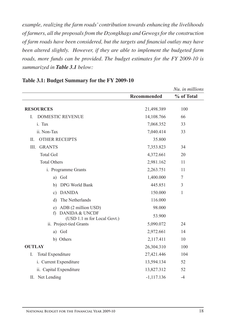*example, realizing the farm roads' contribution towards enhancing the livelihoods of farmers, all the proposals from the Dzongkhags and Gewogs for the construction of farm roads have been considered, but the targets and financial outlay may have been altered slightly. However, if they are able to implement the budgeted farm roads, more funds can be provided. The budget estimates for the FY 2009-10 is summarized in Table 3.1 below:*

|                                                  |                    | Nu. in millions |
|--------------------------------------------------|--------------------|-----------------|
|                                                  | <b>Recommended</b> | % of Total      |
| <b>RESOURCES</b>                                 | 21,498.389         | 100             |
| <b>DOMESTIC REVENUE</b><br>L                     | 14,108.766         | 66              |
| i. Tax                                           | 7,068.352          | 33              |
| ii. Non-Tax                                      | 7,040.414          | 33              |
| <b>OTHER RECEIPTS</b><br>Π.                      | 35.800             |                 |
| <b>GRANTS</b><br>III.                            | 7,353.823          | 34              |
| <b>Total GoI</b>                                 | 4,372.661          | 20              |
| <b>Total Others</b>                              | 2,981.162          | 11              |
| i. Programme Grants                              | 2,263.751          | 11              |
| a) GoI                                           | 1,400.000          | 7               |
| b) DPG World Bank                                | 445.851            | 3               |
| c) DANIDA                                        | 150.000            | 1               |
| The Netherlands<br>d)                            | 116.000            |                 |
| e) ADB (2 million USD)                           | 98.000             |                 |
| f) DANIDA & UNCDF<br>(USD 1.1 m for Local Govt.) | 53.900             |                 |
| ii. Project-tied Grants                          | 5,090.072          | 24              |
| a) GoI                                           | 2,972.661          | 14              |
| b) Others                                        | 2,117.411          | 10              |
| <b>OUTLAY</b>                                    | 26,304.310         | 100             |
| I.<br><b>Total Expenditure</b>                   | 27,421.446         | 104             |
| i. Current Expenditure                           | 13,594.134         | 52              |
| ii. Capital Expenditure                          | 13,827.312         | 52              |
| II. Net Lending                                  | $-1,117.136$       | $-4$            |

#### **Table 3.1: Budget Summary for the FY 2009-10**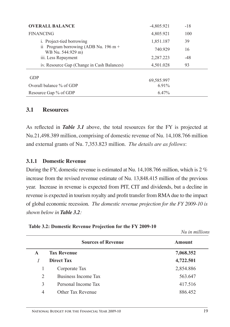| <b>OVERALL BALANCE</b>                                        | $-4,805.921$ | $-18$ |
|---------------------------------------------------------------|--------------|-------|
| <b>FINANCING</b>                                              | 4,805.921    | 100   |
| i. Project-tied borrowing                                     | 1,851.187    | 39    |
| Program borrowing (ADB Nu. 196 m +<br>11<br>WB Nu. 544.929 m) | 740.929      | 16    |
| iii. Less Repayment                                           | 2,287.223    | $-48$ |
| iv. Resource Gap (Change in Cash Balances)                    | 4,501.028    | 93    |
| <b>GDP</b>                                                    | 69,585.997   |       |
| Overall balance % of GDP                                      | 6.91%        |       |
| Resource Gap % of GDP                                         | 6.47%        |       |

#### **3.1 Resources**

As reflected in *Table 3.1* above, the total resources for the FY is projected at Nu.21,498.389 million, comprising of domestic revenue of Nu. 14,108.766 million and external grants of Nu. 7,353.823 million. *The details are as follows*:

#### **3.1.1 Domestic Revenue**

During the FY, domestic revenue is estimated at Nu. 14,108.766 million, which is 2 % increase from the revised revenue estimate of Nu. 13,848.415 million of the previous year. Increase in revenue is expected from PIT, CIT and dividends, but a decline in revenue is expected in tourism royalty and profit transfer from RMA due to the impact of global economic recession. *The domestic revenue projection for the FY 2009-10 is shown below in Table 3.2:*

|              |                           | Nu in millions |
|--------------|---------------------------|----------------|
|              | <b>Sources of Revenue</b> | <b>Amount</b>  |
| $\mathbf{A}$ | <b>Tax Revenue</b>        | 7,068.352      |
| I            | <b>Direct Tax</b>         | 4,722.501      |
| 1            | Corporate Tax             | 2,854.886      |
| 2            | Business Income Tax       | 563.647        |
| 3            | Personal Income Tax       | 417.516        |
| 4            | Other Tax Revenue         | 886.452        |
|              |                           |                |

| Table 3.2: Domestic Revenue Projection for the FY 2009-10 |  |
|-----------------------------------------------------------|--|
|-----------------------------------------------------------|--|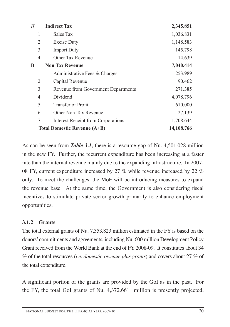| $I\!I$         | <b>Indirect Tax</b>                        | 2,345.851  |
|----------------|--------------------------------------------|------------|
| 1              | Sales Tax                                  | 1,036.831  |
| $\overline{2}$ | <b>Excise Duty</b>                         | 1,148.583  |
| 3              | <b>Import Duty</b>                         | 145.798    |
| 4              | Other Tax Revenue                          | 14.639     |
| B              | <b>Non Tax Revenue</b>                     | 7,040.414  |
| 1              | Administrative Fees & Charges              | 253.989    |
| 2              | Capital Revenue                            | 90.462     |
| 3              | <b>Revenue from Government Departments</b> | 271.385    |
| 4              | Dividend                                   | 4,078.796  |
| 5              | <b>Transfer of Profit</b>                  | 610.000    |
| 6              | Other Non-Tax Revenue                      | 27.139     |
| $\overline{7}$ | <b>Interest Receipt from Corporations</b>  | 1,708.644  |
|                | <b>Total Domestic Revenue (A+B)</b>        | 14,108.766 |

As can be seen from *Table 3.1*, there is a resource gap of Nu. 4,501.028 million in the new FY. Further, the recurrent expenditure has been increasing at a faster rate than the internal revenue mainly due to the expanding infrastructure. In 2007- 08 FY, current expenditure increased by 27 % while revenue increased by 22 % only. To meet the challenges, the MoF will be introducing measures to expand the revenue base. At the same time, the Government is also considering fiscal incentives to stimulate private sector growth primarily to enhance employment opportunities.

#### **3.1.2 Grants**

The total external grants of Nu. 7,353.823 million estimated in the FY is based on the donors' commitments and agreements, including Nu. 600 million Development Policy Grant received from the World Bank at the end of FY 2008-09. It constitutes about 34 % of the total resources (*i.e. domestic revenue plus grants*) and covers about 27 % of the total expenditure.

A significant portion of the grants are provided by the GoI as in the past. For the FY, the total GoI grants of Nu. 4,372.661 million is presently projected,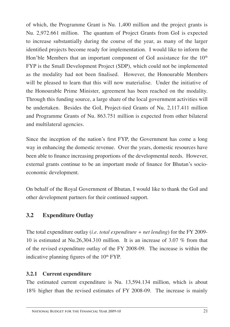of which, the Programme Grant is Nu. 1,400 million and the project grants is Nu. 2,972.661 million. The quantum of Project Grants from GoI is expected to increase substantially during the course of the year, as many of the larger identified projects become ready for implementation. I would like to inform the Hon'ble Members that an important component of GoI assistance for the  $10<sup>th</sup>$ FYP is the Small Development Project (SDP), which could not be implemented as the modality had not been finalised. However, the Honourable Members will be pleased to learn that this will now materialise. Under the initiative of the Honourable Prime Minister, agreement has been reached on the modality. Through this funding source, a large share of the local government activities will be undertaken. Besides the GoI, Project-tied Grants of Nu. 2,117.411 million and Programme Grants of Nu. 863.751 million is expected from other bilateral and multilateral agencies.

Since the inception of the nation's first FYP, the Government has come a long way in enhancing the domestic revenue. Over the years, domestic resources have been able to finance increasing proportions of the developmental needs. However, external grants continue to be an important mode of finance for Bhutan's socioeconomic development.

On behalf of the Royal Government of Bhutan, I would like to thank the GoI and other development partners for their continued support.

## **3.2 Expenditure Outlay**

The total expenditure outlay (*i.e. total expenditure + net lending*) for the FY 2009- 10 is estimated at Nu.26,304.310 million. It is an increase of 3.07 % from that of the revised expenditure outlay of the FY 2008-09. The increase is within the indicative planning figures of the  $10<sup>th</sup> FYP$ .

## **3.2.1 Current expenditure**

The estimated current expenditure is Nu. 13,594.134 million, which is about 18% higher than the revised estimates of FY 2008-09. The increase is mainly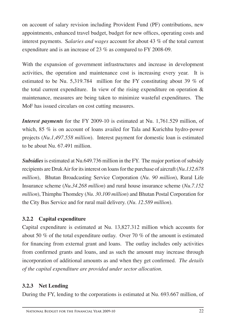on account of salary revision including Provident Fund (PF) contributions, new appointments, enhanced travel budget, budget for new offices, operating costs and interest payments. S*alaries and wages* account for about 43 % of the total current expenditure and is an increase of 23 % as compared to FY 2008-09.

With the expansion of government infrastructures and increase in development activities, the operation and maintenance cost is increasing every year. It is estimated to be Nu. 5,319.784 million for the FY constituting about 39  $\%$  of the total current expenditure. In view of the rising expenditure on operation  $\&$ maintenance, measures are being taken to minimize wasteful expenditures. The MoF has issued circulars on cost cutting measures.

*Interest payments* for the FY 2009-10 is estimated at Nu. 1,761.529 million, of which, 85 % is on account of loans availed for Tala and Kurichhu hydro-power projects (*Nu.1,497.558 million*). Interest payment for domestic loan is estimated to be about Nu. 67.491 million.

*Subsidies* is estimated at Nu.649.736 million in the FY. The major portion of subsidy recipients are Druk Air for its interest on loans for the purchase of aircraft (*Nu.132.678 million*), Bhutan Broadcasting Service Corporation (*Nu. 90 million*), Rural Life Insurance scheme (*Nu.34.268 million*) and rural house insurance scheme (*Nu.7.152 million*), Thimphu Thomdey (*Nu. 30.100 million*) and Bhutan Postal Corporation for the City Bus Service and for rural mail delivery. (*Nu. 12.589 million*).

## **3.2.2 Capital expenditure**

Capital expenditure is estimated at Nu. 13,827.312 million which accounts for about 50 % of the total expenditure outlay. Over 70 % of the amount is estimated for financing from external grant and loans. The outlay includes only activities from confirmed grants and loans, and as such the amount may increase through incorporation of additional amounts as and when they get confirmed. *The details of the capital expenditure are provided under sector allocation.*

## **3.2.3 Net Lending**

During the FY, lending to the corporations is estimated at Nu. 693.667 million, of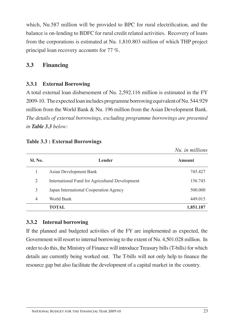which, Nu.587 million will be provided to BPC for rural electrification, and the balance is on-lending to BDFC for rural credit related activities. Recovery of loans from the corporations is estimated at Nu. 1,810.803 million of which THP project principal loan recovery accounts for 77 %.

## **3.3 Financing**

## **3.3.1 External Borrowing**

A total external loan disbursement of Nu. 2,592.116 million is estimated in the FY 2009-10. The expected loan includes programme borrowing equivalent of Nu. 544.929 million from the World Bank & Nu. 196 million from the Asian Development Bank. *The details of external borrowings, excluding programme borrowings are presented in Table 3.3 below:*

|                |                                                 | Nu. in millions |
|----------------|-------------------------------------------------|-----------------|
| <b>Sl. No.</b> | Lender                                          | <b>Amount</b>   |
| 1              | Asian Development Bank                          | 745.427         |
| 2              | International Fund for Agricultural Development | 156.745         |
| 3              | Japan International Cooperation Agency          | 500.000         |
| 4              | World Bank                                      | 449.015         |
|                | TOTAL                                           | 1,851.187       |

|  |  |  |  | <b>Table 3.3 : External Borrowings</b> |
|--|--|--|--|----------------------------------------|
|--|--|--|--|----------------------------------------|

#### **3.3.2 Internal borrowing**

If the planned and budgeted activities of the FY are implemented as expected, the Government will resort to internal borrowing to the extent of Nu. 4,501.028 million. In order to do this, the Ministry of Finance will introduce Treasury bills (T-bills) for which details are currently being worked out. The T-bills will not only help to finance the resource gap but also facilitate the development of a capital market in the country.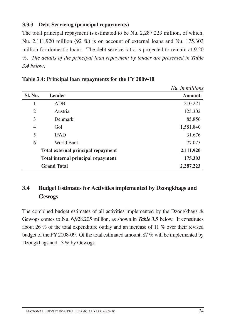## **3.3.3 Debt Servicing (principal repayments)**

The total principal repayment is estimated to be Nu. 2,287.223 million, of which, Nu. 2,111.920 million (92 %) is on account of external loans and Nu. 175.303 million for domestic loans. The debt service ratio is projected to remain at 9.20 %. *The details of the principal loan repayment by lender are presented in Table 3.4 below:*

|                                    |                    | $1.101.$ 111 111111101110 |
|------------------------------------|--------------------|---------------------------|
| <b>Sl. No.</b>                     | Lender             | Amount                    |
|                                    | <b>ADB</b>         | 210.221                   |
| 2                                  | Austria            | 125.302                   |
| 3                                  | <b>Denmark</b>     | 85.856                    |
| 4                                  | GoI                | 1,581.840                 |
| 5                                  | <b>IFAD</b>        | 31.676                    |
| 6                                  | World Bank         | 77.025                    |
| Total external principal repayment |                    | 2,111.920                 |
| Total internal principal repayment |                    | 175.303                   |
|                                    | <b>Grand Total</b> | 2,287.223                 |

**Table 3.4: Principal loan repayments for the FY 2009-10**

## **3.4 Budget Estimates forActivities implemented by Dzongkhags and Gewogs**

The combined budget estimates of all activities implemented by the Dzongkhags & Gewogs comes to Nu. 6,928.205 million, as shown in *Table 3.5* below. It constitutes about 26 % of the total expenditure outlay and an increase of 11 % over their revised budget of the FY 2008-09. Of the total estimated amount, 87 % will be implemented by Dzongkhags and 13 % by Gewogs.

*Nu. in millions*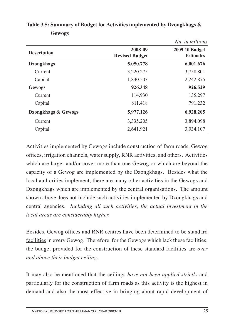|                     |                                  | Nu. in millions                    |
|---------------------|----------------------------------|------------------------------------|
| <b>Description</b>  | 2008-09<br><b>Revised Budget</b> | 2009-10 Budget<br><b>Estimates</b> |
| <b>Dzongkhags</b>   | 5,050.778                        | 6,001.676                          |
| Current             | 3,220.275                        | 3,758.801                          |
| Capital             | 1,830.503                        | 2,242.875                          |
| <b>Gewogs</b>       | 926.348                          | 926.529                            |
| Current             | 114.930                          | 135.297                            |
| Capital             | 811.418                          | 791.232                            |
| Dzongkhags & Gewogs | 5,977.126                        | 6,928.205                          |
| Current             | 3,335.205                        | 3,894.098                          |
| Capital             | 2,641.921                        | 3,034.107                          |

**Table 3.5: Summary of Budget for Activities implemented by Dzongkhags & Gewogs**

Activities implemented by Gewogs include construction of farm roads, Gewog offices, irrigation channels, water supply, RNR activities, and others. Activities which are larger and/or cover more than one Gewog or which are beyond the capacity of a Gewog are implemented by the Dzongkhags. Besides what the local authorities implement, there are many other activities in the Gewogs and Dzongkhags which are implemented by the central organisations. The amount shown above does not include such activities implemented by Dzongkhags and central agencies. *Including all such activities, the actual investment in the local areas are considerably higher.*

Besides, Gewog offices and RNR centres have been determined to be standard facilities in every Gewog. Therefore, for the Gewogs which lack these facilities, the budget provided for the construction of these standard facilities are *over and above their budget ceiling*.

It may also be mentioned that the ceilings *have not been applied strictly* and particularly for the construction of farm roads as this activity is the highest in demand and also the most effective in bringing about rapid development of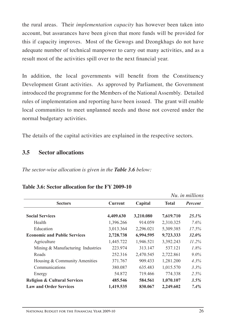the rural areas. Their *implementation capacity* has however been taken into account, but assurances have been given that more funds will be provided for this if capacity improves. Most of the Gewogs and Dzongkhags do not have adequate number of technical manpower to carry out many activities, and as a result most of the activities spill over to the next financial year.

In addition, the local governments will benefit from the Constituency Development Grant activities. As approved by Parliament, the Government introduced the programme for the Members of the National Assembly. Detailed rules of implementation and reporting have been issued. The grant will enable local communities to meet unplanned needs and those not covered under the normal budgetary activities.

The details of the capital activities are explained in the respective sectors.

## **3.5 Sector allocations**

*The sector-wise allocation is given in the Table 3.6 below:*

|                                         |                |           |              | Nu, in millions |
|-----------------------------------------|----------------|-----------|--------------|-----------------|
| <b>Sectors</b>                          | <b>Current</b> | Capital   | <b>Total</b> | <b>Percent</b>  |
| <b>Social Services</b>                  | 4,409.630      | 3,210.080 | 7,619.710    | $25.1\%$        |
| Health                                  | 1,396.266      | 914.059   | 2,310.325    | 7.6%            |
| Education                               | 3,013.364      | 2,296.021 | 5,309.385    | 17.5%           |
| <b>Economic and Public Services</b>     | 2,728.738      | 6,994.595 | 9,723.333    | <b>32.0%</b>    |
| Agriculture                             | 1,445.722      | 1,946.521 | 3,392.243    | $11.2\%$        |
| Mining & Manufacturing Industries       | 223.974        | 313.147   | 537.121      | 1.8%            |
| Roads                                   | 252.316        | 2,470.545 | 2,722.861    | $9.0\%$         |
| Housing & Community Amenities           | 371.767        | 909.433   | 1,281.200    | 4.3%            |
| Communications                          | 380.087        | 635.483   | 1,015.570    | 3.3%            |
| Energy                                  | 54.872         | 719.466   | 774.338      | 2.5%            |
| <b>Religion &amp; Cultural Services</b> | 485.546        | 584.561   | 1,070.107    | 3.5%            |
| <b>Law and Order Services</b>           | 1,419.535      | 830.067   | 2,249.602    | 7.4%            |

#### **Table 3.6: Sector allocation for the FY 2009-10**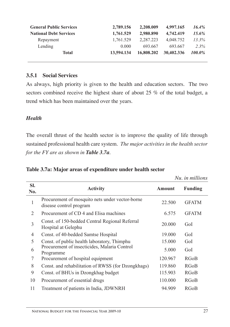| <b>General Public Services</b> | 2,789.156  | 2,208.009  | 4,997.165  | $16.4\%$ |
|--------------------------------|------------|------------|------------|----------|
| <b>National Debt Services</b>  | 1,761.529  | 2,980.890  | 4,742,419  | $15.6\%$ |
| Repayment                      | 1,761.529  | 2.287.223  | 4.048.752  | $13.3\%$ |
| Lending                        | 0.000      | 693.667    | 693.667    | $2.3\%$  |
| <b>Total</b>                   | 13,594.134 | 16,808,202 | 30,402.336 | 100.0%   |

#### **3.5.1 Social Services**

As always, high priority is given to the health and education sectors. The two sectors combined receive the highest share of about 25 % of the total budget, a trend which has been maintained over the years.

## *Health*

The overall thrust of the health sector is to improve the quality of life through sustained professional health care system. *The major activities in the health sector for the FY are as shown in Table 3.7a.*

| Table 3.7a: Major areas of expenditure under health sector |  |
|------------------------------------------------------------|--|
|------------------------------------------------------------|--|

|                |                                                                            |         | Nu, in millions |  |
|----------------|----------------------------------------------------------------------------|---------|-----------------|--|
| SI.<br>No.     | <b>Activity</b>                                                            | Amount  | <b>Funding</b>  |  |
| $\mathbf{1}$   | Procurement of mosquito nets under vector-borne<br>disease control program | 22.500  | <b>GFATM</b>    |  |
| 2              | Procurement of CD 4 and Elisa machines                                     | 6.575   | <b>GFATM</b>    |  |
| $\mathfrak{Z}$ | Const. of 150-bedded Central Regional Referral<br>Hospital at Gelephu      | 20.000  | GoI             |  |
| 4              | Const. of 40-bedded Samtse Hospital                                        | 19.000  | GoI             |  |
| 5              | Const. of public health laboratory, Thimphu                                | 15.000  | GoI             |  |
| 6              | Procurement of insecticides, Malaria Control<br>Programme                  | 5.000   | GoI             |  |
| 7              | Procurement of hospital equipment                                          | 120.967 | <b>RGoB</b>     |  |
| 8              | Const. and rehabilitation of RWSS (for Dzongkhags)                         | 119.860 | <b>RGoB</b>     |  |
| 9              | Const. of BHUs in Dzongkhag budget                                         | 115.903 | <b>RGoB</b>     |  |
| 10             | Procurement of essential drugs                                             | 110.000 | <b>RGoB</b>     |  |
| 11             | Treatment of patients in India, JDWNRH                                     | 94.909  | <b>RGoB</b>     |  |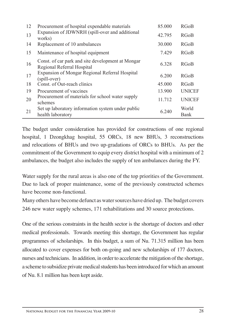| 12 | Procurement of hospital expendable materials                                    | 85.000 | <b>RGoB</b>   |
|----|---------------------------------------------------------------------------------|--------|---------------|
| 13 | Expansion of JDWNRH (spill-over and additional<br>works)                        | 42.795 | <b>RGoB</b>   |
| 14 | Replacement of 10 ambulances                                                    | 30.000 | <b>RGoB</b>   |
| 15 | Maintenance of hospital equipment                                               | 7.429  | <b>RGoB</b>   |
| 16 | Const. of car park and site development at Mongar<br>Regional Referral Hospital | 6.328  | <b>RGoB</b>   |
| 17 | <b>Expansion of Mongar Regional Referral Hospital</b><br>(spill-over)           | 6.200  | <b>RGoB</b>   |
| 18 | Const. of Out-reach clinics                                                     | 45.000 | <b>RGoB</b>   |
| 19 | Procurement of vaccines                                                         | 13.900 | <b>UNICEF</b> |
| 20 | Procurement of materials for school water supply<br>schemes                     | 11.712 | <b>UNICEF</b> |
| 21 | Set up laboratory information system under public                               | 6.240  | World         |
|    | health laboratory                                                               |        | Bank          |

The budget under consideration has provided for constructions of one regional hospital, 1 Dzongkhag hospital, 55 ORCs, 18 new BHUs, 3 reconstructions and relocations of BHUs and two up-gradations of ORCs to BHUs. As per the commitment of the Government to equip every district hospital with a minimum of 2 ambulances, the budget also includes the supply of ten ambulances during the FY.

Water supply for the rural areas is also one of the top priorities of the Government. Due to lack of proper maintenance, some of the previously constructed schemes have become non-functional.

Many others have become defunct as water sources have dried up. The budget covers 246 new water supply schemes, 171 rehabilitations and 30 source protections.

One of the serious constraints in the health sector is the shortage of doctors and other medical professionals. Towards meeting this shortage, the Government has regular programmes of scholarships. In this budget, a sum of Nu. 71.315 million has been allocated to cover expenses for both on-going and new scholarships of 177 doctors, nurses and technicians. In addition, in order to accelerate the mitigation of the shortage, a scheme to subsidize private medical students has been introduced for which an amount of Nu. 8.1 million has been kept aside.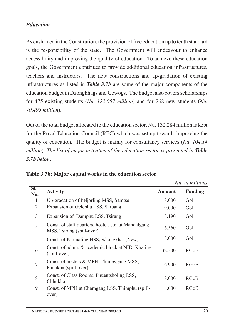## *Education*

As enshrined in the Constitution, the provision of free education up to tenth standard is the responsibility of the state. The Government will endeavour to enhance accessibility and improving the quality of education. To achieve these education goals, the Government continues to provide additional education infrastructures, teachers and instructors. The new constructions and up-gradation of existing infrastructures as listed in *Table 3.7b* are some of the major components of the education budget in Dzongkhags and Gewogs. The budget also covers scholarships for 475 existing students (*Nu. 122.057 million*) and for 268 new students (*Nu. 70.495 million*).

Out of the total budget allocated to the education sector, Nu. 132.284 million is kept for the Royal Education Council (REC) which was set up towards improving the quality of education. The budget is mainly for consultancy services (*Nu. 104.14 million*). The list of major activities of the education sector is presented in **Table** *3.7b below.*

|                |                                                                                   |               | Nu. in millions |
|----------------|-----------------------------------------------------------------------------------|---------------|-----------------|
| SI.<br>No.     | <b>Activity</b>                                                                   | <b>Amount</b> | <b>Funding</b>  |
| 1              | Up-gradation of Peljorling MSS, Samtse                                            | 18.000        | GoI             |
| 2              | Expansion of Gelephu LSS, Sarpang                                                 | 9.000         | GoI             |
| 3              | Expansion of Damphu LSS, Tsirang                                                  | 8.190         | GoI             |
| $\overline{4}$ | Const. of staff quarters, hostel, etc. at Mandalgang<br>MSS, Tsirang (spill-over) | 6.560         | GoI             |
| 5              | Const. of Karmaling HSS, S/Jongkhar (New)                                         | 8.000         | GoI             |
| 6              | Const. of admn. & academic block at NID, Khaling<br>(spill-over)                  | 32.300        | RGoB            |
| $\overline{7}$ | Const. of hostels & MPH, Thinleygang MSS,<br>Punakha (spill-over)                 | 16.900        | <b>RGoB</b>     |
| 8              | Const. of Class Rooms, Phuentsholing LSS,<br>Chhukha                              | 8.000         | RGoB            |
| 9              | Const. of MPH at Chamgang LSS, Thimphu (spill-<br>over)                           | 8.000         | <b>RGoB</b>     |

**Table 3.7b: Major capital works in the education sector**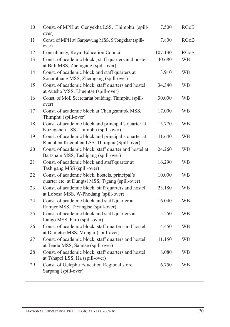| 10 | Const. of MPH at Genyekha LSS, Thimphu (spill-<br>over)                                            | 7.500   | <b>RGoB</b> |
|----|----------------------------------------------------------------------------------------------------|---------|-------------|
| 11 | Const. of MPH at Garpawung MSS, S/Jongkhar (spill-<br>over)                                        | 7.800   | <b>RGoB</b> |
| 12 | Consultancy, Royal Education Council                                                               | 107.130 | <b>RGoB</b> |
| 13 | Const. of academic block,, staff quarters and hostel<br>at Buli MSS, Zhemgang (spill-over)         | 40.680  | <b>WB</b>   |
| 14 | Const. of academic block and staff quarters at<br>Sonamthang MSS, Zhemgang (spill-over)            | 13.910  | <b>WB</b>   |
| 15 | Const. of academic block, staff quarters and hostel<br>at Autsho MSS, Lhuentse (spill-over)        | 34.340  | <b>WB</b>   |
| 16 | Const. of MoE Secretariat building, Thimphu (spill-<br>over)                                       | 30.000  | <b>WB</b>   |
| 17 | Const. of academic block at Changzamtok MSS,<br>Thimphu (spill-over)                               | 17.000  | <b>WB</b>   |
| 18 | Const. of academic block and principal's quarter at<br>Kuzugchen LSS, Thimphu (spill-over)         | 15.770  | <b>WB</b>   |
| 19 | Const. of academic block and principal's quarter at<br>Rinchhen Kuenphen LSS, Thimphu (Spill-over) | 11.640  | <b>WB</b>   |
| 20 | Const. of academic block, staff quarter and hostel at<br>Bartsham MSS, Tashigang (spill-over)      | 24.260  | <b>WB</b>   |
| 21 | Const. of academic block and staff quarter at<br>Tashigang MSS (spill-over)                        | 16.290  | <b>WB</b>   |
| 22 | Const. of academic block, hostels, principal's<br>quarter etc. at Dungtsi MSS, T/gang (spill-over) | 10.000  | <b>WB</b>   |
| 23 | Const. of academic block, staff quarters and hostel<br>at Lobesa MSS, W/Phodang (spill-over)       | 23.180  | <b>WB</b>   |
| 24 | Const. of academic block and staff quarter at<br>Ramjer MSS, T/Yangtse (spill-over)                | 16.040  | <b>WB</b>   |
| 25 | Const. of academic block and staff quarters at<br>Lango MSS, Paro (spill-over)                     | 15.250  | <b>WB</b>   |
| 26 | Const. of academic block, staff quarters and hostel<br>at Dametse MSS, Mongar (spill-over)         | 14.450  | <b>WB</b>   |
| 27 | Const. of academic block, staff quarters and hostel<br>at Tendu MSS, Samtse (spill-over)           | 11.150  | WB          |
| 28 | Const. of academic block, staff quarters and hostel<br>at Tshapel LSS, Ha (spill-over)             | 8.080   | <b>WB</b>   |
| 29 | Const. of Gelephu Education Regional store,<br>Sarpang (spill-over)                                | 6.750   | <b>WB</b>   |
|    |                                                                                                    |         |             |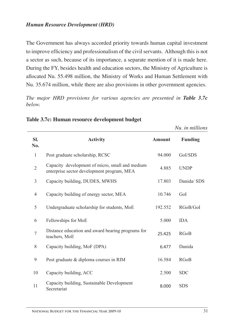### *Human Resource Development (HRD)*

The Government has always accorded priority towards human capital investment to improve efficiency and professionalism of the civil servants. Although this is not a sector as such, because of its importance, a separate mention of it is made here. During the FY, besides health and education sectors, the Ministry of Agriculture is allocated Nu. 55.498 million, the Ministry of Works and Human Settlement with Nu. 35.674 million, while there are also provisions in other government agencies.

*The major HRD provisions for various agencies are presented in Table 3.7c below.*

|                |                                                                                               |               | Nu. in millions |
|----------------|-----------------------------------------------------------------------------------------------|---------------|-----------------|
| SI.<br>No.     | <b>Activity</b>                                                                               | <b>Amount</b> | <b>Funding</b>  |
| 1              | Post graduate scholarship, RCSC                                                               | 94.000        | GoI/SDS         |
| $\overline{2}$ | Capacity development of micro, small and medium<br>enterprise sector development program, MEA | 4.885         | <b>UNDP</b>     |
| 3              | Capacity building, DUDES, MWHS                                                                | 17.803        | Danida/ SDS     |
| 4              | Capacity building of energy sector, MEA                                                       | 10.746        | GoI             |
| 5              | Undergraduate scholarship for students, MoE                                                   | 192.552       | RGoB/GoI        |
| 6              | Fellowships for MoE                                                                           | 5.000         | <b>IDA</b>      |
| 7              | Distance education and award bearing programs for<br>teachers, MoE                            | 25.425        | <b>RGoB</b>     |
| 8              | Capacity building, MoF (DPA)                                                                  | 6.477         | Danida          |
| 9              | Post graduate & diploma courses in RIM                                                        | 16.584        | <b>RGoB</b>     |
| 10             | Capacity building, ACC                                                                        | 2.500         | <b>SDC</b>      |
| 11             | Capacity building, Sustainable Development<br>Secretariat                                     | 8.000         | <b>SDS</b>      |

**Table 3.7c: Human resource development budget**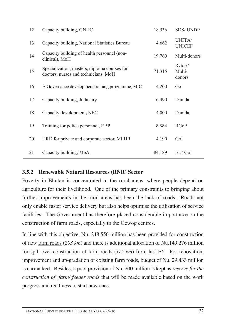| Capacity building, GNHC                                                              | 18.536 | <b>SDS/UNDP</b>           |
|--------------------------------------------------------------------------------------|--------|---------------------------|
| Capacity building, National Statistics Bureau                                        | 4.662  | UNFPA/<br><b>UNICEF</b>   |
| Capacity building of health personnel (non-<br>clinical), MoH                        | 19.760 | Multi-donors              |
| Specialization, masters, diploma courses for<br>doctors, nurses and technicians, MoH | 71.315 | RGoB/<br>Multi-<br>donors |
| E-Governance development training programme, MIC                                     | 4.200  | GoI                       |
| Capacity building, Judiciary                                                         | 6.490  | Danida                    |
| Capacity development, NEC                                                            | 4.000  | Danida                    |
| Training for police personnel, RBP                                                   | 8.384  | <b>RGoB</b>               |
| HRD for private and corporate sector, MLHR                                           | 4.190  | GoI                       |
| Capacity building, MoA                                                               | 84.189 | EU/ GoI                   |
|                                                                                      |        |                           |

### **3.5.2 Renewable Natural Resources (RNR) Sector**

Poverty in Bhutan is concentrated in the rural areas, where people depend on agriculture for their livelihood. One of the primary constraints to bringing about further improvements in the rural areas has been the lack of roads. Roads not only enable faster service delivery but also helps optimise the utilisation of service facilities. The Government has therefore placed considerable importance on the construction of farm roads, especially to the Gewog centres.

In line with this objective, Nu. 248.556 million has been provided for construction of new farm roads (*203 km*) and there is additional allocation of Nu.149.276 million for spill-over construction of farm roads (*115 km*) from last FY. For renovation, improvement and up-gradation of existing farm roads, budget of Nu. 29.433 million is earmarked. Besides, a pool provision of Nu. 200 million is kept as *reserve for the construction of farm/ feeder roads* that will be made available based on the work progress and readiness to start new ones.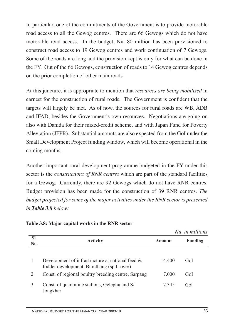In particular, one of the commitments of the Government is to provide motorable road access to all the Gewog centres. There are 66 Gewogs which do not have motorable road access. In the budget, Nu. 80 million has been provisioned to construct road access to 19 Gewog centres and work continuation of 7 Gewogs. Some of the roads are long and the provision kept is only for what can be done in the FY. Out of the 66 Gewogs, construction of roads to 14 Gewog centres depends on the prior completion of other main roads.

At this juncture, it is appropriate to mention that *resources are being mobilised* in earnest for the construction of rural roads. The Government is confident that the targets will largely be met. As of now, the sources for rural roads are WB, ADB and IFAD, besides the Government's own resources. Negotiations are going on also with Danida for their mixed-credit scheme, and with Japan Fund for Poverty Alleviation (JFPR). Substantial amounts are also expected from the GoI under the Small Development Project funding window, which will become operational in the coming months.

Another important rural development programme budgeted in the FY under this sector is the *constructions of RNR centres* which are part of the standard facilities for a Gewog. Currently, there are 92 Gewogs which do not have RNR centres. Budget provision has been made for the construction of 39 RNR centres. *The budget projected for some of the major activities under the RNR sector is presented in Table 3.8 below:*

|            |                                                                                                  |        | Nu, in millions |  |
|------------|--------------------------------------------------------------------------------------------------|--------|-----------------|--|
| SI.<br>No. | <b>Activity</b>                                                                                  | Amount | Funding         |  |
|            | Development of infrastructure at national feed $\&$<br>fodder development, Bumthang (spill-over) | 14 400 | Gol             |  |
| 2          | Const. of regional poultry breeding centre, Sarpang                                              | 7 000  | GoI             |  |
| 3          | Const. of quarantine stations, Gelephu and S/<br>Jongkhar                                        | 7345   | Gol             |  |

#### **Table 3.8: Major capital works in the RNR sector**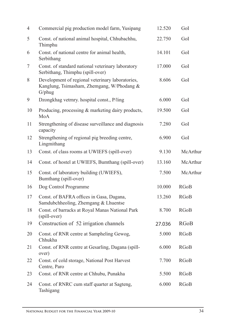| $\overline{4}$ | Commercial pig production model farm, Yusipang                                                           | 12.520 | GoI         |
|----------------|----------------------------------------------------------------------------------------------------------|--------|-------------|
| 5              | Const. of national animal hospital, Chhubachhu,<br>Thimphu                                               | 22.750 | GoI         |
| 6              | Const. of national centre for animal health,<br>Serbithang                                               | 14.101 | GoI         |
| 7              | Const. of standard national veterinary laboratory<br>Serbithang, Thimphu (spill-over)                    | 17.000 | GoI         |
| 8              | Development of regional veterinary laboratories,<br>Kanglung, Tsimasham, Zhemgang, W/Phodang &<br>G/phug | 8.606  | GoI         |
| 9              | Dzongkhag vetrnry. hospital const., P/ling                                                               | 6.000  | GoI         |
| 10             | Producing, processing & marketing dairy products,<br>MoA                                                 | 19.500 | GoI         |
| 11             | Strengthening of disease surveillance and diagnosis<br>capacity                                          | 7.280  | GoI         |
| 12             | Strengthening of regional pig breeding centre,<br>Lingmithang                                            | 6.900  | GoI         |
| 13             | Const. of class rooms at UWIEFS (spill-over)                                                             | 9.130  | McArthur    |
| 14             | Const. of hostel at UWIEFS, Bumthang (spill-over)                                                        | 13.160 | McArthur    |
| 15             | Const. of laboratory building (UWIEFS),<br>Bumthang (spill-over)                                         | 7.500  | McArthur    |
| 16             | Dog Control Programme                                                                                    | 10.000 | <b>RGoB</b> |
| 17             | Const. of BAFRA offices in Gasa, Dagana,<br>Samdubchheoling, Zhemgang & Lhuentse                         | 13.260 | <b>RGoB</b> |
| 18             | Const. of barracks at Royal Manas National Park<br>(spill-over)                                          | 8.700  | <b>RGoB</b> |
| 19             | Construction of 52 irrigation channels                                                                   | 27.036 | <b>RGoB</b> |
| 20             | Const. of RNR centre at Sampheling Gewog,<br>Chhukha                                                     | 5.000  | <b>RGoB</b> |
| 21             | Const. of RNR centre at Gesarling, Dagana (spill-<br>over)                                               | 6.000  | <b>RGoB</b> |
| 22             | Const. of cold storage, National Post Harvest<br>Centre, Paro                                            | 7.700  | <b>RGoB</b> |
| 23             | Const. of RNR centre at Chhubu, Punakha                                                                  | 5.500  | <b>RGoB</b> |
| 24             | Const. of RNRC cum staff quarter at Sagteng,<br>Tashigang                                                | 6.000  | <b>RGoB</b> |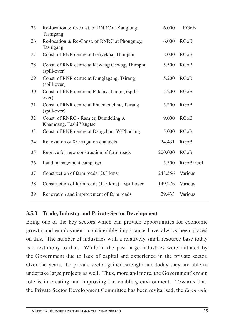| Re-location & re-const. of RNRC at Kanglung,<br>Tashigang       | 6.000   | <b>RGoB</b> |
|-----------------------------------------------------------------|---------|-------------|
| Re-location & Re-Const. of RNRC at Phongmey,<br>Tashigang       | 6.000   | <b>RGoB</b> |
| Const. of RNR centre at Genyekha, Thimphu                       | 8.000   | <b>RGoB</b> |
| Const. of RNR centre at Kawang Gewog, Thimphu<br>(spill-over)   | 5.500   | <b>RGoB</b> |
| Const. of RNR centre at Dunglagang, Tsirang<br>(spill-over)     | 5.200   | <b>RGoB</b> |
| Const. of RNR centre at Patalay, Tsirang (spill-<br>over)       | 5.200   | <b>RGoB</b> |
| Const. of RNR centre at Phuentenchhu, Tsirang<br>(spill-over)   | 5.200   | <b>RGoB</b> |
| Const. of RNRC - Ramjer, Bumdeling &<br>Khamdang, Tashi Yangtse | 9.000   | <b>RGoB</b> |
| Const. of RNR centre at Dangchhu, W/Phodang                     | 5.000   | <b>RGoB</b> |
| Renovation of 83 irrigation channels                            | 24.431  | <b>RGoB</b> |
| Reserve for new construction of farm roads                      | 200.000 | <b>RGoB</b> |
| Land management campaign                                        | 5.500   | RGoB/GoI    |
| Construction of farm roads (203 kms)                            | 248.556 | Various     |
| Construction of farm roads (115 kms) – spill-over               | 149.276 | Various     |
| Renovation and improvement of farm roads                        | 29.433  | Various     |
|                                                                 |         |             |

### **3.5.3 Trade, Industry and Private Sector Development**

Being one of the key sectors which can provide opportunities for economic growth and employment, considerable importance have always been placed on this. The number of industries with a relatively small resource base today is a testimony to that. While in the past large industries were initiated by the Government due to lack of capital and experience in the private sector. Over the years, the private sector gained strength and today they are able to undertake large projects as well. Thus, more and more, the Government's main role is in creating and improving the enabling environment. Towards that, the Private Sector Development Committee has been revitalised, the *Economic*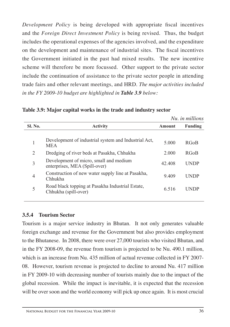*Development Policy* is being developed with appropriate fiscal incentives and the *Foreign Direct Investment Policy* is being revised. Thus, the budget includes the operational expenses of the agencies involved, and the expenditure on the development and maintenance of industrial sites. The fiscal incentives the Government initiated in the past had mixed results. The new incentive scheme will therefore be more focussed. Other support to the private sector include the continuation of assistance to the private sector people in attending trade fairs and other relevant meetings, and HRD. *The major activities included in the FY 2009-10 budget are highlighted in Table 3.9 below:* 

|                |                                                                          |        | Nu, in millions |
|----------------|--------------------------------------------------------------------------|--------|-----------------|
| <b>Sl. No.</b> | <b>Activity</b>                                                          | Amount | <b>Funding</b>  |
| 1              | Development of industrial system and Industrial Act,<br><b>MEA</b>       | 5.000  | <b>RGoB</b>     |
| 2              | Dredging of river beds at Pasakha, Chhukha                               | 2.000  | <b>RGoB</b>     |
| 3              | Development of micro, small and medium<br>enterprises, MEA (Spill-over)  | 42.408 | UNDP            |
| 4              | Construction of new water supply line at Pasakha,<br>Chhukha             | 9.409  | <b>UNDP</b>     |
| 5              | Road black topping at Pasakha Industrial Estate,<br>Chhukha (spill-over) | 6.516  | UNDP            |
|                |                                                                          |        |                 |

**Table 3.9: Major capital works in the trade and industry sector** 

### **3.5.4 Tourism Sector**

Tourism is a major service industry in Bhutan. It not only generates valuable foreign exchange and revenue for the Government but also provides employment to the Bhutanese. In 2008, there were over 27,000 tourists who visited Bhutan, and in the FY 2008-09, the revenue from tourism is projected to be Nu. 490.1 million, which is an increase from Nu. 435 million of actual revenue collected in FY 2007-08. However, tourism revenue is projected to decline to around Nu. 417 million in FY 2009-10 with decreasing number of tourists mainly due to the impact of the global recession. While the impact is inevitable, it is expected that the recession will be over soon and the world economy will pick up once again. It is most crucial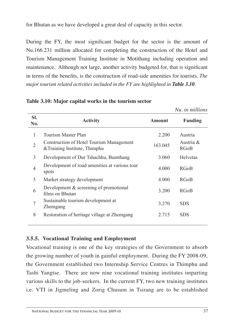for Bhutan as we have developed a great deal of capacity in this sector.

During the FY, the most significant budget for the sector is the amount of Nu.166.231 million allocated for completing the construction of the Hotel and Tourism Management Training Institute in Motithang including operation and maintenance. Although not large, another activity budgeted for, that is significant in terms of the benefits, is the construction of road-side amenities for tourists. *The major tourism related activities included in the FY are highlighted in Table 3.10.* 

|                |                                                                           |         | Nu. in millions          |
|----------------|---------------------------------------------------------------------------|---------|--------------------------|
| SI.<br>No.     | <b>Activity</b>                                                           | Amount  | <b>Funding</b>           |
| 1              | Tourism Master Plan                                                       | 2.200   | Austria                  |
| $\overline{2}$ | Construction of Hotel Tourism Management<br>& Training Institute, Thimphu | 163.045 | Austria &<br><b>RGoB</b> |
| 3              | Development of Dur Tshachhu, Bumthang                                     | 3.060   | <b>Helvetas</b>          |
| $\overline{4}$ | Development of road amenities at various tour<br>spots                    | 4.000   | <b>RGoB</b>              |
| 5              | Market strategy development                                               | 4.000   | <b>RGoB</b>              |
| 6              | Development $&$ screening of promotional<br>films on Bhutan               | 3.200   | <b>RGoB</b>              |
| 7              | Sustainable tourism development at<br>Zhemgang                            | 3.270   | <b>SDS</b>               |
| 8              | Restoration of heritage village at Zhemgang                               | 2.715   | <b>SDS</b>               |

**Table 3.10: Major capital works in the tourism sector**

# **3.5.5. Vocational Training and Employment**

Vocational training is one of the key strategies of the Government to absorb the growing number of youth in gainful employment. During the FY 2008-09, the Government established two Internship Service Centres in Thimphu and Tashi Yangtse. There are now nine vocational training institutes imparting various skills to the job-seekers. In the current FY, two new training institutes i.e. VTI in Jigmeling and Zorig Chusum in Tsirang are to be established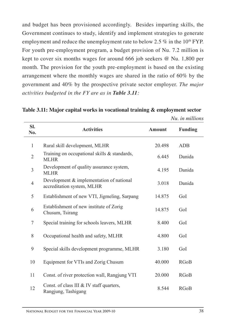and budget has been provisioned accordingly. Besides imparting skills, the Government continues to study, identify and implement strategies to generate employment and reduce the unemployment rate to below 2.5 % in the 10<sup>th</sup> FYP. For youth pre-employment program, a budget provision of Nu. 7.2 million is kept to cover six months wages for around 666 job seekers @ Nu. 1,800 per month. The provision for the youth pre-employment is based on the existing arrangement where the monthly wages are shared in the ratio of 60% by the government and 40% by the prospective private sector employer. *The major activities budgeted in the FY are as in Table 3.11:*

**Table 3.11: Major capital works in vocational training & employment sector**

|                |                                                                          |               | Nu. in millions |
|----------------|--------------------------------------------------------------------------|---------------|-----------------|
| SI.<br>No.     | <b>Activities</b>                                                        | <b>Amount</b> | <b>Funding</b>  |
| $\mathbf{1}$   | Rural skill development, MLHR                                            | 20.498        | <b>ADB</b>      |
| $\mathbf{2}$   | Training on occupational skills & standards,<br><b>MLHR</b>              | 6.445         | Danida          |
| $\overline{3}$ | Development of quality assurance system,<br><b>MLHR</b>                  | 4.195         | Danida          |
| $\overline{4}$ | Development $&$ implementation of national<br>accreditation system, MLHR | 3.018         | Danida          |
| 5              | Establishment of new VTI, Jigmeling, Sarpang                             | 14.875        | GoI             |
| 6              | Establishment of new institute of Zorig<br>Chusum, Tsirang               | 14.875        | GoI             |
| $\tau$         | Special training for schools leavers, MLHR                               | 8.400         | GoI             |
| 8              | Occupational health and safety, MLHR                                     | 4.800         | GoI             |
| 9              | Special skills development programme, MLHR                               | 3.180         | GoI             |
| 10             | Equipment for VTIs and Zorig Chusum                                      | 40.000        | <b>RGoB</b>     |
| 11             | Const. of river protection wall, Rangjung VTI                            | 20.000        | <b>RGoB</b>     |
| 12             | Const. of class III & IV staff quarters,<br>Rangjung, Tashigang          | 8.544         | <b>RGoB</b>     |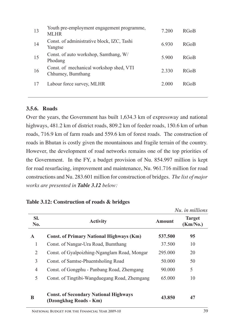| 13 | Youth pre-employment engagement programme,<br><b>MLHR</b>    | 7.200 | <b>RGoB</b> |
|----|--------------------------------------------------------------|-------|-------------|
| 14 | Const. of administrative block, IZC, Tashi<br>Yangtse        | 6.930 | <b>RGoB</b> |
| 15 | Const. of auto workshop, Samthang, W/<br>Phodang             | 5 900 | <b>RGoB</b> |
| 16 | Const. of mechanical workshop shed, VTI<br>Chhumey, Bumthang | 2.330 | <b>RGoB</b> |
| 17 | Labour force survey, MLHR                                    | 2.000 | <b>RGoB</b> |
|    |                                                              |       |             |

#### **3.5.6. Roads**

Over the years, the Government has built 1,634.3 km of expressway and national highways, 481.2 km of district roads, 809.2 km of feeder roads, 150.6 km of urban roads, 716.9 km of farm roads and 559.6 km of forest roads. The construction of roads in Bhutan is costly given the mountainous and fragile terrain of the country. However, the development of road networks remains one of the top priorities of the Government. In the FY, a budget provision of Nu. 854.997 million is kept for road resurfacing, improvement and maintenance, Nu. 961.716 million for road constructions and Nu. 283.601 million for construction of bridges. *The list of major works are presented in Table 3.12 below:*

|              |                                                                        |               | Nu. in millions           |
|--------------|------------------------------------------------------------------------|---------------|---------------------------|
| SI.<br>No.   | <b>Activity</b>                                                        | <b>Amount</b> | <b>Target</b><br>(Km/No.) |
| $\mathbf{A}$ | <b>Const. of Primary National Highways (Km)</b>                        | 537.500       | 95                        |
| 1            | Const. of Nangar-Ura Road, Bumthang                                    | 37.500        | 10                        |
| 2            | Const. of Gyalpoizhing-Nganglam Road, Mongar                           | 295.000       | 20                        |
| 3            | Const. of Samtse-Phuentsholing Road                                    | 50.000        | 50                        |
| 4            | Const. of Gongphu - Panbang Road, Zhemgang                             | 90.000        | 5                         |
| 5            | Const. of Tingtibi-Wangduegang Road, Zhemgang                          | 65.000        | 10                        |
| B            | <b>Const. of Secondary National Highways</b><br>(Dzongkhag Roads - Km) | 43.850        | 47                        |

#### **Table 3.12: Construction of roads & bridges**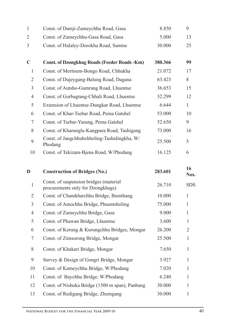| $\mathbf{1}$   | Const. of Damji-Zameychhu Road, Gasa                                        | 8.850   | 9            |
|----------------|-----------------------------------------------------------------------------|---------|--------------|
| $\overline{2}$ | Const. of Zameychhu-Gasa Road, Gasa                                         | 5.000   | 13           |
| 3              | Const. of Halaley-Dorokha Road, Samtse                                      | 30.000  | 25           |
| $\mathbf C$    | <b>Const. of Dzongkhag Roads (Feeder Roads -Km)</b>                         | 380.366 | 99           |
| $\mathbf{1}$   | Const. of Meritsem-Bongo Road, Chhukha                                      | 21.072  | 17           |
| 2              | Const. of Dujeygang-Balung Road, Dagana                                     | 63.423  | 8            |
| 3              | Const. of Autsho-Gumrang Road, Lhuentse                                     | 36.653  | 15           |
| $\overline{4}$ | Const. of Gorbagtang-Chhali Road, Lhuentse                                  | 32.299  | 12           |
| 5              | Extension of Lhuentse-Dungkar Road, Lhuentse                                | 6.644   | 1            |
| 6              | Const. of Khar-Tsebar Road, Pema Gatshel                                    | 53.000  | 10           |
| 7              | Const. of Tsebar-Yurung, Pema Gatshel                                       | 52.650  | 9            |
| 8              | Const. of Kharungla-Kangpara Road, Tashigang                                | 73.000  | 16           |
| 9              | Const. of Jangchhubchholing-Tashidingkha, W/<br>Phodang                     | 25.500  | 5            |
| 10             | Const. of Tekizam-Bjena Road, W/Phodang                                     | 16.125  | 6            |
| D              | <b>Construction of Bridges (No.)</b>                                        | 283.601 | 16<br>Nos.   |
|                |                                                                             |         |              |
| $\mathbf{1}$   | Const. of suspension bridges (material<br>procurements only for Dzongkhags) | 26.710  | <b>SDS</b>   |
| $\overline{2}$ | Const. of Chamkharchhu Bridge, Bumthang                                     | 10.000  | 1            |
| 3              | Const. of Amochhu Bridge, Phuentsholing                                     | 75.000  | 1            |
| $\overline{4}$ | Const. of Zameychhu Bridge, Gasa                                            | 9.000   | $\mathbf{1}$ |
| 5              | Const. of Phawan Bridge, Lhuentse                                           | 3.600   | 1            |
| 6              | Const. of Kerung & Kurungchhu Bridges, Mongar                               | 26.200  | 2            |
| 7              | Const. of Zimsorong Bridge, Mongar                                          | 25.500  | 1            |
| 8              | Const. of Khakari Bridge, Mongar                                            | 7.650   | $\mathbf{1}$ |
| 9              | Survey & Design of Gongri Bridge, Mongar                                    | 3.927   | $\mathbf{1}$ |
| 10             | Const. of Kameychhu Bridge, W/Phodang                                       | 7.020   | 1            |
| 11             | Const. of Baychhu Bridge, W/Phodang                                         | 6.240   | 1            |
| 12             | Const. of Nishoka Bridge (1500 m span), Panbang                             | 30.000  | 1            |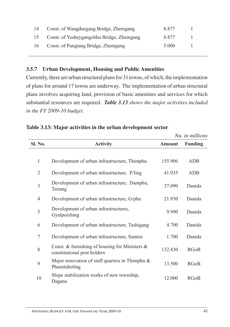| 14 | Const. of Wangduegang Bridge, Zhemgang    | 8877  |  |
|----|-------------------------------------------|-------|--|
| 15 | Const. of Yesheygangchhu Bridge, Zhemgang | 8877  |  |
| 16 | Const. of Pangtang Bridge, Zhemgang       | 5.000 |  |

## **3.5.7 Urban Development, Housing and Public Amenities**

Currently, there are urban structural plans for 31 towns, of which, the implementation of plans for around 17 towns are underway. The implementation of urban structural plans involves acquiring land, provision of basic amenities and services for which substantial resources are required. *Table 3.13 shows the major activities included in the FY 2009-10 budget.* 

|                |                                                                                  |               | Nu, in millions |
|----------------|----------------------------------------------------------------------------------|---------------|-----------------|
| Sl. No.        | <b>Activity</b>                                                                  | <b>Amount</b> | <b>Funding</b>  |
|                |                                                                                  |               |                 |
| 1              | Development of urban infrastructure, Thimphu                                     | 155.906       | <b>ADB</b>      |
| $\overline{2}$ | Development of urban infrastructure, P/ling                                      | 41.935        | <b>ADB</b>      |
| $\overline{3}$ | Development of urban infrastructure, Damphu,<br>Tsirang                          | 37.090        | Danida          |
| 4              | Development of urban infrastructure, G/phu                                       | 21.930        | Danida          |
| 5              | Development of urban infrastructures,<br>Gyalpoizhing                            | 9.990         | Danida          |
| 6              | Development of urban infrastructure, Tashigang                                   | 4.700         | Danida          |
| 7              | Development of urban infrastructure, Samtse                                      | 1.700         | Danida          |
| 8              | Const. & furnishing of housing for Ministers $\&$<br>constitutional post holders | 132.430       | <b>RGoB</b>     |
| 9              | Major renovation of staff quarters in Thimphu $\&$<br>Phuentsholing              | 13.500        | <b>RGoB</b>     |
| 10             | Slope stabilization works of new township,<br>Dagana                             | 12.000        | <b>RGoB</b>     |

### **Table 3.13: Major activities in the urban development sector**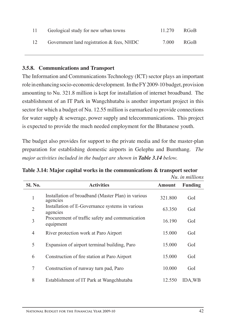| -11 | Geological study for new urban towns         | 11.270 | - RGoB |
|-----|----------------------------------------------|--------|--------|
| 12  | Government land registration $\&$ fees, NHDC | 7.000  | RGoB   |

## **3.5.8. Communications and Transport**

The Information and Communications Technology (ICT) sector plays an important role in enhancing socio-economic development. In the FY 2009-10 budget, provision amounting to Nu. 321.8 million is kept for installation of internet broadband. The establishment of an IT Park in Wangchhutaba is another important project in this sector for which a budget of Nu. 12.55 million is earmarked to provide connections for water supply & sewerage, power supply and telecommunications. This project is expected to provide the much needed employment for the Bhutanese youth.

The budget also provides for support to the private media and for the master-plan preparation for establishing domestic airports in Gelephu and Bumthang. *The major activities included in the budget are shown in Table 3.14 below.*

|                |                                                                |               | Nu. in millions |
|----------------|----------------------------------------------------------------|---------------|-----------------|
| <b>Sl. No.</b> | <b>Activities</b>                                              | <b>Amount</b> | <b>Funding</b>  |
| $\mathbf{1}$   | Installation of broadband (Master Plan) in various<br>agencies | 321.800       | GoI             |
| $\overline{2}$ | Installation of E-Governance systems in various<br>agencies    | 63.350        | GoI             |
| 3              | Procurement of traffic safety and communication<br>equipment   | 16.190        | GoI             |
| $\overline{4}$ | River protection work at Paro Airport                          | 15.000        | GoI             |
| 5              | Expansion of airport terminal building, Paro                   | 15.000        | GoI             |
| 6              | Construction of fire station at Paro Airport                   | 15.000        | GoI             |
| 7              | Construction of runway turn pad, Paro                          | 10.000        | GoI             |
| 8              | Establishment of IT Park at Wangchhutaba                       | 12.550        | <b>IDA, WB</b>  |

| Table 3.14: Major capital works in the communications $\&$ transport sector |  |  |
|-----------------------------------------------------------------------------|--|--|
|                                                                             |  |  |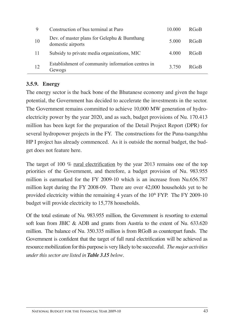| 9   | Construction of bus terminal at Paro                             | 10.000  | <b>RGoB</b> |
|-----|------------------------------------------------------------------|---------|-------------|
| 10  | Dev. of master plans for Gelephu & Bumthang<br>domestic airports | 5.000   | <b>RGoB</b> |
| -11 | Subsidy to private media organizations, MIC                      | 4.000   | <b>RGoB</b> |
| 12  | Establishment of community information centres in<br>Gewogs      | 3 7 5 0 | RGoB        |

# **3.5.9. Energy**

The energy sector is the back bone of the Bhutanese economy and given the huge potential, the Government has decided to accelerate the investments in the sector. The Government remains committed to achieve 10,000 MW generation of hydroelectricity power by the year 2020, and as such, budget provisions of Nu. 170.413 million has been kept for the preparation of the Detail Project Report (DPR) for several hydropower projects in the FY. The constructions for the Puna-tsangchhu HP I project has already commenced. As it is outside the normal budget, the budget does not feature here.

The target of 100 % rural electrification by the year 2013 remains one of the top priorities of the Government, and therefore, a budget provision of Nu. 983.955 million is earmarked for the FY 2009-10 which is an increase from Nu.656.787 million kept during the FY 2008-09. There are over 42,000 households yet to be provided electricity within the remaining 4 years of the  $10<sup>th</sup> FYP$ . The FY 2009-10 budget will provide electricity to 15,778 households.

Of the total estimate of Nu. 983.955 million, the Government is resorting to external soft loan from JBIC & ADB and grants from Austria to the extent of Nu. 633.620 million. The balance of Nu. 350.335 million is from RGoB as counterpart funds. The Government is confident that the target of full rural electrification will be achieved as resource mobilization for this purpose is very likely to be successful. *The major activities under this sector are listed in Table 3.15 below*.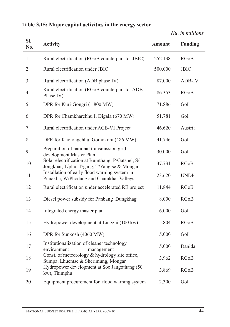|                |                                                                                                 |               | <i>iva. ut nuuvits</i> |
|----------------|-------------------------------------------------------------------------------------------------|---------------|------------------------|
| SI.<br>No.     | <b>Activity</b>                                                                                 | <b>Amount</b> | <b>Funding</b>         |
| $\mathbf{1}$   | Rural electrification (RGoB counterpart for JBIC)                                               | 252.138       | <b>RGoB</b>            |
| $\overline{2}$ | Rural electrification under JBIC                                                                | 500.000       | <b>JBIC</b>            |
| 3              | Rural electrification (ADB phase IV)                                                            | 87.000        | ADB-IV                 |
| 4              | Rural electrification (RGoB counterpart for ADB<br>Phase IV)                                    | 86.353        | <b>RGoB</b>            |
| 5              | DPR for Kuri-Gongri (1,800 MW)                                                                  | 71.886        | GoI                    |
| 6              | DPR for Chamkharchhu I, Digala (670 MW)                                                         | 51.781        | GoI                    |
| 7              | Rural electrification under ACB-VI Project                                                      | 46.620        | Austria                |
| 8              | DPR for Kholongchhu, Gomokora (486 MW)                                                          | 41.746        | GoI                    |
| 9              | Preparation of national transmission grid<br>development Master Plan                            | 30.000        | GoI                    |
| 10             | Solar electrification at Bumthang, P/Gatshel, S/<br>Jongkhar, T/phu, T/gang, T/Yangtse & Mongar | 37.731        | <b>RGoB</b>            |
| 11             | Installation of early flood warning system in<br>Punakha, W/Phodang and Chamkhar Valleys        | 23.620        | <b>UNDP</b>            |
| 12             | Rural electrification under accelerated RE project                                              | 11.844        | <b>RGoB</b>            |
| 13             | Diesel power subsidy for Panbang Dungkhag                                                       | 8.000         | <b>RGoB</b>            |
| 14             | Integrated energy master plan                                                                   | 6.000         | GoI                    |
| 15             | Hydropower development at Lingzhi (100 kw)                                                      | 5.804         | <b>RGoB</b>            |
| 16             | DPR for Sunkosh (4060 MW)                                                                       | 5.000         | GoI                    |
| 17             | Institutionalization of cleaner technology<br>environment<br>management                         | 5.000         | Danida                 |
| 18             | Const. of meteorology & hydrology site office,<br>Sumpa, Lhuentse & Sherimung, Mongar           | 3.962         | <b>RGoB</b>            |
| 19             | Hydropower development at Soe Jangothang (50<br>kw), Thimphu                                    | 3.869         | <b>RGoB</b>            |
| 20             | Equipment procurement for flood warning system                                                  | 2.300         | GoI                    |

*Nu. in millions*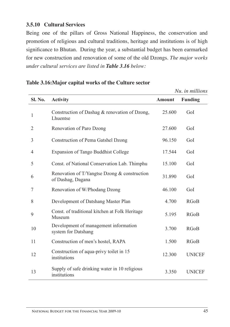# **3.5.10 Cultural Services**

Being one of the pillars of Gross National Happiness, the conservation and promotion of religious and cultural traditions, heritage and institutions is of high significance to Bhutan. During the year, a substantial budget has been earmarked for new construction and renovation of some of the old Dzongs. *The major works under cultural services are listed in Table 3.16 below:*

|                |                                                                   |               | Nu. in millions |
|----------------|-------------------------------------------------------------------|---------------|-----------------|
| Sl. No.        | <b>Activity</b>                                                   | <b>Amount</b> | <b>Funding</b>  |
| $\mathbf{1}$   | Construction of Dashag & renovation of Dzong,<br>Lhuentse         | 25.600        | GoI             |
| 2              | Renovation of Paro Dzong                                          | 27.600        | GoI             |
| 3              | <b>Construction of Pema Gatshel Dzong</b>                         | 96.150        | GoI             |
| $\overline{4}$ | <b>Expansion of Tango Buddhist College</b>                        | 17.544        | GoI             |
| 5              | Const. of National Conservation Lab. Thimphu                      | 15.100        | GoI             |
| 6              | Renovation of T/Yangtse Dzong & construction<br>of Dashag, Dagana | 31.890        | GoI             |
| 7              | Renovation of W/Phodang Dzong                                     | 46.100        | GoI             |
| 8              | Development of Datshang Master Plan                               | 4.700         | <b>RGoB</b>     |
| 9              | Const. of traditional kitchen at Folk Heritage<br>Museum          | 5.195         | <b>RGoB</b>     |
| 10             | Development of management information<br>system for Datshang      | 3.700         | <b>RGoB</b>     |
| 11             | Construction of men's hostel, RAPA                                | 1.500         | <b>RGoB</b>     |
| 12             | Construction of aqua-privy toilet in 15<br>institutions           | 12.300        | <b>UNICEF</b>   |
| 13             | Supply of safe drinking water in 10 religious<br>institutions     | 3.350         | <b>UNICEF</b>   |

#### **Table 3.16:Major capital works of the Culture sector**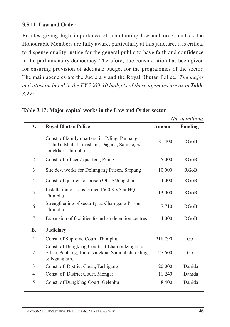# **3.5.11 Law and Order**

Besides giving high importance of maintaining law and order and as the Honourable Members are fully aware, particularly at this juncture, it is critical to dispense quality justice for the general public to have faith and confidence in the parliamentary democracy. Therefore, due consideration has been given for ensuring provision of adequate budget for the programmes of the sector. The main agencies are the Judiciary and the Royal Bhutan Police. *The major activities included in the FY 2009-10 budgets of these agencies are as in Table 3.17*:

|                |                                                                                                                      |               | Nu. in millions |
|----------------|----------------------------------------------------------------------------------------------------------------------|---------------|-----------------|
| А.             | <b>Royal Bhutan Police</b>                                                                                           | <b>Amount</b> | <b>Funding</b>  |
| $\mathbf{1}$   | Const. of family quarters, in P/ling, Panbang,<br>Tashi Gatshal, Tsimasham, Dagana, Samtse, S/<br>Jongkhar, Thimphu, | 81.400        | <b>RGoB</b>     |
| $\overline{2}$ | Const. of officers' quarters, P/ling                                                                                 | 5.000         | <b>RGoB</b>     |
| 3              | Site dev. works for Dolungang Prison, Sarpang                                                                        | 10.000        | <b>RGoB</b>     |
| $\overline{4}$ | Const. of quarter for prison OC, S/Jongkhar                                                                          | 4.000         | <b>RGoB</b>     |
| 5              | Installation of transformer 1500 KVA at HQ,<br>Thimphu                                                               | 13.000        | <b>RGoB</b>     |
| 6              | Strengthening of security at Chamgang Prison,<br>Thimphu                                                             | 7.710         | <b>RGoB</b>     |
| 7              | Expansion of facilities for urban detention centres                                                                  | 4.000         | <b>RGoB</b>     |
| В.             | <b>Judiciary</b>                                                                                                     |               |                 |
| 1              | Const. of Supreme Court, Thimphu                                                                                     | 218.790       | GoI             |
| $\overline{2}$ | Const. of Dungkhag Courts at Lhamoidzingkha,<br>Sibsu, Panbang, Jomotsangkha, Samdubchhoeling<br>& Nganglam.         | 27.600        | GoI             |
| 3              | Const. of District Court, Tashigang                                                                                  | 20.000        | Danida          |
| $\overline{4}$ | Const. of District Court, Mongar                                                                                     | 11.240        | Danida          |
| 5              | Const. of Dungkhag Court, Gelephu                                                                                    | 8.400         | Danida          |

**Table 3.17: Major capital works in the Law and Order sector**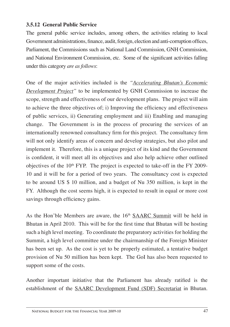### **3.5.12 General Public Service**

The general public service includes, among others, the activities relating to local Government administrations, finance, audit, foreign, election and anti-corruption offices, Parliament, the Commissions such as National Land Commission, GNH Commission, and National Environment Commission, etc. Some of the significant activities falling under this category *are as follows*:

One of the major activities included is the *"Accelerating Bhutan's Economic Development Project"* to be implemented by GNH Commission to increase the scope, strength and effectiveness of our development plans. The project will aim to achieve the three objectives of; i) Improving the efficiency and effectiveness of public services, ii) Generating employment and iii) Enabling and managing change. The Government is in the process of procuring the services of an internationally renowned consultancy firm for this project. The consultancy firm will not only identify areas of concern and develop strategies, but also pilot and implement it. Therefore, this is a unique project of its kind and the Government is confident, it will meet all its objectives and also help achieve other outlined objectives of the  $10<sup>th</sup>$  FYP. The project is expected to take-off in the FY 2009-10 and it will be for a period of two years. The consultancy cost is expected to be around US \$ 10 million, and a budget of Nu 350 million, is kept in the FY. Although the cost seems high, it is expected to result in equal or more cost savings through efficiency gains.

As the Hon'ble Members are aware, the  $16<sup>th</sup>$  SAARC Summit will be held in Bhutan in April 2010. This will be for the first time that Bhutan will be hosting such a high level meeting. To coordinate the preparatory activities for holding the Summit, a high level committee under the chairmanship of the Foreign Minister has been set up. As the cost is yet to be properly estimated, a tentative budget provision of Nu 50 million has been kept. The GoI has also been requested to support some of the costs.

Another important initiative that the Parliament has already ratified is the establishment of the SAARC Development Fund (SDF) Secretariat in Bhutan.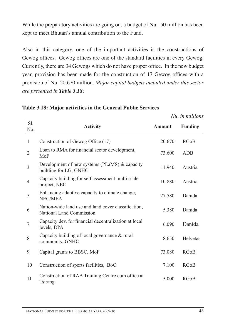While the preparatory activities are going on, a budget of Nu 150 million has been kept to meet Bhutan's annual contribution to the Fund.

Also in this category, one of the important activities is the constructions of Gewog offices. Gewog offices are one of the standard facilities in every Gewog. Currently, there are 34 Gewogs which do not have proper office. In the new budget year, provision has been made for the construction of 17 Gewog offices with a provision of Nu. 20.670 million. *Major capital budgets included under this sector are presented in Table 3.18:*

| Sl.<br>No.     | <b>Activity</b>                                                                 | <b>Amount</b> | <b>Funding</b> |
|----------------|---------------------------------------------------------------------------------|---------------|----------------|
| 1              | Construction of Gewog Office (17)                                               | 20.670        | <b>RGoB</b>    |
| $\overline{2}$ | Loan to RMA for financial sector development,<br>MoF                            | 73.600        | ADB            |
| $\mathfrak{Z}$ | Development of new systems (PLaMS) & capacity<br>building for LG, GNHC          | 11.940        | Austria        |
| 4              | Capacity building for self assessment multi scale<br>project, NEC               | 10.880        | Austria        |
| 5              | Enhancing adaptive capacity to climate change,<br><b>NEC/MEA</b>                | 27.580        | Danida         |
| 6              | Nation-wide land use and land cover classification,<br>National Land Commission | 5.380         | Danida         |
| 7              | Capacity dev. for financial decentralization at local<br>levels, DPA            | 6.090         | Danida         |
| 8              | Capacity building of local governance & rural<br>community, GNHC                | 8.650         | Helvetas       |
| 9              | Capital grants to BBSC, MoF                                                     | 73.080        | <b>RGoB</b>    |
| 10             | Construction of sports facilities, BoC                                          | 7.100         | <b>RGoB</b>    |
| 11             | Construction of RAA Training Centre cum office at<br>Tsirang                    | 5.000         | <b>RGoB</b>    |

#### **Table 3.18: Major activities in the General Public Services**

 *Nu. in millions*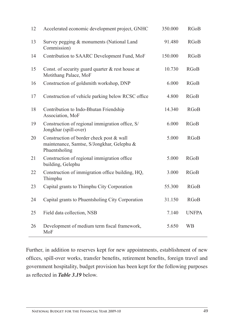| 12 | Accelerated economic development project, GNHC                                                          | 350.000 | <b>RGoB</b>  |
|----|---------------------------------------------------------------------------------------------------------|---------|--------------|
| 13 | Survey pegging & monuments (National Land<br>Commission)                                                | 91.480  | <b>RGoB</b>  |
| 14 | Contribution to SAARC Development Fund, MoF                                                             | 150.000 | <b>RGoB</b>  |
| 15 | Const. of security guard quarter & rest house at<br>Motithang Palace, MoF                               | 10.730  | <b>RGoB</b>  |
| 16 | Construction of goldsmith workshop, DNP                                                                 | 6.000   | <b>RGoB</b>  |
| 17 | Construction of vehicle parking below RCSC office                                                       | 4.800   | <b>RGoB</b>  |
| 18 | Contribution to Indo-Bhutan Friendship<br>Association, MoF                                              | 14.340  | <b>RGoB</b>  |
| 19 | Construction of regional immigration office, S/<br>Jongkhar (spill-over)                                | 6.000   | <b>RGoB</b>  |
| 20 | Construction of border check post & wall<br>maintenance, Samtse, S/Jongkhar, Gelephu &<br>Phuentsholing | 5.000   | <b>RGoB</b>  |
| 21 | Construction of regional immigration office<br>building, Gelephu                                        | 5.000   | <b>RGoB</b>  |
| 22 | Construction of immigration office building, HQ,<br>Thimphu                                             | 3.000   | <b>RGoB</b>  |
| 23 | Capital grants to Thimphu City Corporation                                                              | 55.300  | <b>RGoB</b>  |
| 24 | Capital grants to Phuentsholing City Corporation                                                        | 31.150  | <b>RGoB</b>  |
| 25 | Field data collection, NSB                                                                              | 7.140   | <b>UNFPA</b> |
| 26 | Development of medium term fiscal framework,<br>MoF                                                     | 5.650   | <b>WB</b>    |

Further, in addition to reserves kept for new appointments, establishment of new offices, spill-over works, transfer benefits, retirement benefits, foreign travel and government hospitality, budget provision has been kept for the following purposes as reflected in *Table 3.19* below.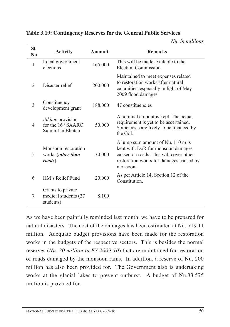#### **Table 3.19: Contingency Reserves for the General Public Services**

*Nu. in millions*

| SI.<br>$\bf No$ | <b>Activity</b>                                                               | <b>Amount</b> | <b>Remarks</b>                                                                                                                                                          |
|-----------------|-------------------------------------------------------------------------------|---------------|-------------------------------------------------------------------------------------------------------------------------------------------------------------------------|
| 1               | Local government<br>elections                                                 | 165,000       | This will be made available to the<br>Election Commission                                                                                                               |
| $\overline{2}$  | Disaster relief                                                               | 200.000       | Maintained to meet expenses related<br>to restoration works after natural<br>calamities, especially in light of May<br>2009 flood damages                               |
| 3               | Constituency<br>development grant                                             | 188,000       | 47 constituencies                                                                                                                                                       |
| $\overline{4}$  | <i>Ad hoc</i> provision<br>for the 16 <sup>th</sup> SAARC<br>Summit in Bhutan | 50.000        | A nominal amount is kept. The actual<br>requirement is yet to be ascertained.<br>Some costs are likely to be financed by<br>the GoL                                     |
| 5               | Monsoon restoration<br>works ( <i>other than</i><br>roads)                    | 30.000        | A lump sum amount of Nu. 110 m is<br>kept with DoR for monsoon damages<br>caused on roads. This will cover other<br>restoration works for damages caused by<br>monsoon. |
| 6               | HM's Relief Fund                                                              | 20.000        | As per Article 14, Section 12 of the<br>Constitution.                                                                                                                   |
| $\overline{7}$  | Grants to private<br>medical students (27<br>students)                        | 8.100         |                                                                                                                                                                         |

As we have been painfully reminded last month, we have to be prepared for natural disasters. The cost of the damages has been estimated at Nu. 719.11 million. Adequate budget provisions have been made for the restoration works in the budgets of the respective sectors. This is besides the normal reserves (*Nu. 30 million in FY 2009-10*) that are maintained for restoration of roads damaged by the monsoon rains. In addition, a reserve of Nu. 200 million has also been provided for. The Government also is undertaking works at the glacial lakes to prevent outburst. A budget of Nu.33.575 million is provided for.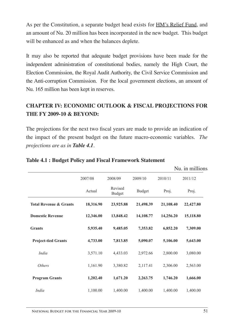As per the Constitution, a separate budget head exists for HM's Relief Fund, and an amount of Nu. 20 million has been incorporated in the new budget. This budget will be enhanced as and when the balances deplete.

It may also be reported that adequate budget provisions have been made for the independent administration of constitutional bodies, namely the High Court, the Election Commission, the Royal Audit Authority, the Civil Service Commission and the Anti-corruption Commission. For the local government elections, an amount of Nu. 165 million has been kept in reserves.

# **CHAPTER IV: ECONOMIC OUTLOOK & FISCAL PROJECTIONS FOR THE FY 2009-10 & BEYOND:**

The projections for the next two fiscal years are made to provide an indication of the impact of the present budget on the future macro-economic variables. *The projections are as in Table 4.1.*

|                                   |           |                          |               |           | Nu. in millions |
|-----------------------------------|-----------|--------------------------|---------------|-----------|-----------------|
|                                   | 2007/08   | 2008/09                  | 2009/10       | 2010/11   | 2011/12         |
|                                   | Actual    | Revised<br><b>Budget</b> | <b>Budget</b> | Proj.     | Proj.           |
| <b>Total Revenue &amp; Grants</b> | 18,316.90 | 23,925.88                | 21,498.39     | 21,108.40 | 22,427.80       |
| <b>Domestic Revenue</b>           | 12,346.00 | 13,848.42                | 14,108.77     | 14,256.20 | 15,118.80       |
| <b>Grants</b>                     | 5,935.40  | 9,485.05                 | 7,353.82      | 6,852.20  | 7,309.00        |
| <b>Project-tied Grants</b>        | 4,733.00  | 7,813.85                 | 5,090.07      | 5,106.00  | 5,643.00        |
| <i>India</i>                      | 3,571.10  | 4,433.03                 | 2,972.66      | 2,800.00  | 3,080.00        |
| <i>Others</i>                     | 1,161.90  | 3,380.82                 | 2,117.41      | 2,306.00  | 2,563.00        |
| <b>Program Grants</b>             | 1,202.40  | 1,671.20                 | 2,263.75      | 1,746.20  | 1,666.00        |
| <i>India</i>                      | 1,100.00  | 1,400.00                 | 1,400.00      | 1,400.00  | 1,400.00        |

#### **Table 4.1 : Budget Policy and Fiscal Framework Statement**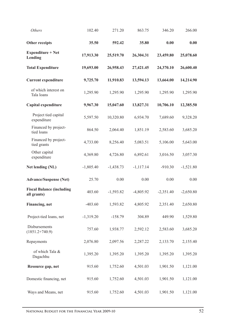| <b>Others</b>                                   | 102.40      | 271.20      | 863.75      | 346.20      | 266.00      |
|-------------------------------------------------|-------------|-------------|-------------|-------------|-------------|
| Other receipts                                  | 35.50       | 592.42      | 35.80       | 0.00        | 0.00        |
| <b>Expenditure + Net</b><br>Lending             | 17,913.30   | 25,519.70   | 26,304.31   | 23,459.80   | 25,078.60   |
| <b>Total Expenditure</b>                        | 19,693.00   | 26,958.43   | 27,421.45   | 24,370.10   | 26,600.40   |
| <b>Current expenditure</b>                      | 9,725.70    | 11,910.83   | 13,594.13   | 13,664.00   | 14,214.90   |
| of which interest on<br>Tala loans              | 1,295.90    | 1,295.90    | 1,295.90    | 1,295.90    | 1,295.90    |
| Capital expenditure                             | 9,967.30    | 15,047.60   | 13,827.31   | 10,706.10   | 12,385.50   |
| Project tied capital<br>expenditure             | 5,597.50    | 10,320.80   | 6,934.70    | 7,689.60    | 9,328.20    |
| Financed by project-<br>tied loans              | 864.50      | 2,064.40    | 1,851.19    | 2,583.60    | 3,685.20    |
| Financed by project-<br>tied grants             | 4,733.00    | 8,256.40    | 5,083.51    | 5,106.00    | 5,643.00    |
| Other capital<br>expenditure                    | 4,369.80    | 4,726.80    | 6,892.61    | 3,016.50    | 3,057.30    |
| Net lending (NL)                                | $-1,805.40$ | $-1,438.73$ | $-1,117.14$ | $-910.30$   | $-1,521.80$ |
| <b>Advance/Suspense (Net)</b>                   | 25.70       | 0.00        | 0.00        | 0.00        | 0.00        |
| <b>Fiscal Balance (including</b><br>all grants) | 403.60      | $-1,593.82$ | $-4,805.92$ | $-2,351.40$ | $-2,650.80$ |
| Financing, net                                  | $-403.60$   | 1,593.82    | 4,805.92    | 2,351.40    | 2,650.80    |
| Project-tied loans, net                         | $-1,319.20$ | $-158.79$   | 304.89      | 449.90      | 1,529.80    |
| Disbursements<br>$(1851.2+740.9)$               | 757.60      | 1,938.77    | 2,592.12    | 2,583.60    | 3,685.20    |
| Repayments                                      | 2,076.80    | 2,097.56    | 2,287.22    | 2,133.70    | 2,155.40    |
| of which Tala &<br>Dagachhu                     | 1,395.20    | 1,395.20    | 1,395.20    | 1,395.20    | 1,395.20    |
| Resource gap, net                               | 915.60      | 1,752.60    | 4,501.03    | 1,901.50    | 1,121.00    |
| Domestic financing, net                         | 915.60      | 1,752.60    | 4,501.03    | 1,901.50    | 1,121.00    |
| Ways and Means, net                             | 915.60      | 1,752.60    | 4,501.03    | 1,901.50    | 1,121.00    |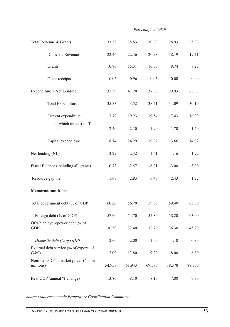#### *Percentage to GDP*

| Total Revenue & Grants   |                                        | 33.33   | 38.63   | 30.89   | 26.93    | 25.38   |  |
|--------------------------|----------------------------------------|---------|---------|---------|----------|---------|--|
|                          | Domestic Revenue                       | 22.46   | 22.36   | 20.28   | 18.19    | 17.11   |  |
|                          | Grants                                 | 10.80   | 15.31   | 10.57   | 8.74     | 8.27    |  |
|                          | Other receipts                         | 0.06    | 0.96    | 0.05    | 0.00     | 0.00    |  |
|                          | Expenditure + Net Lending              | 32.59   | 41.20   | 37.80   | 29.93    | 28.38   |  |
|                          | Total Expenditure                      | 35.83   | 43.52   | 38.41   | 31.09    | 30.10   |  |
|                          | Current expenditure                    | 17.70   | 19.23   | 19.54   | 17.43    | 16.09   |  |
|                          | of which interest on Tala<br>loans     | 2.40    | 2.10    | 1.90    | 1.70     | 1.50    |  |
|                          | Capital expenditure                    | 18.14   | 24.29   | 19.87   | 13.66    | 14.02   |  |
|                          | Net lending (NL)                       | $-3.29$ | $-2.32$ | $-1.61$ | $-1.16$  | $-1.72$ |  |
|                          | Fiscal Balance (including all grants)  | 0.73    | $-2.57$ | $-6.91$ | $-3.00$  | $-3.00$ |  |
| Resource gap, net        |                                        | 1.67    | 2.83    | 6.47    | 2.43     | 1.27    |  |
| <b>Memorandum Items:</b> |                                        |         |         |         |          |         |  |
|                          | Total government debt (% of GDP)       | 60.20   | 56.70   | 59.30   | 59.40    | 63.80   |  |
|                          | Foreign debt (% of GDP)                | 57.60   | 54.70   | 57.80   | 58.20    | 63.00   |  |
| GDP)                     | Of which hydropower debt (% of         | 36.30   | 32.40   | 32.70   | 36.30    | 45.20   |  |
|                          | Domestic debt (% of GDP)               | 2.60    | 2.00    | 1.50    | 1.10     | 0.80    |  |
| G&S                      | External debt service (% of exports of | 17.00   | 13.80   | 9.20    | $8.00\,$ | 6.80    |  |
| millions)                | Nominal GDP at market prices (Nu. in   | 54,958  | 61,943  | 69,586  | 78,378   | 88,360  |  |
|                          | Real GDP (annual % change)             | 13.80   | 8.10    | 8.10    | 7.80     | 7.80    |  |

*Source: Macroeconomic Framework Coordination Committee.*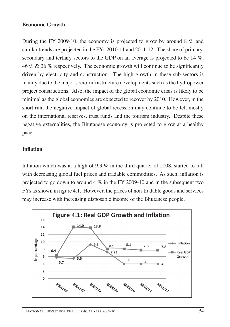#### **Economic Growth**

During the FY 2009-10, the economy is projected to grow by around 8 % and similar trends are projected in the FYs 2010-11 and 2011-12. The share of primary, secondary and tertiary sectors to the GDP on an average is projected to be 14 %, 46 % & 36 % respectively. The economic growth will continue to be significantly driven by electricity and construction. The high growth in these sub-sectors is mainly due to the major socio-infrastructure developments such as the hydropower project constructions. Also, the impact of the global economic crisis is likely to be minimal as the global economies are expected to recover by 2010. However, in the short run, the negative impact of global recession may continue to be felt mostly on the international reserves, trust funds and the tourism industry. Despite these negative externalities, the Bhutanese economy is projected to grow at a healthy pace.

### **Inflation**

Inflation which was at a high of 9.3 % in the third quarter of 2008, started to fall with decreasing global fuel prices and tradable commodities. As such, inflation is projected to go down to around 4  $\%$  in the FY 2009-10 and in the subsequent two FYs as shown in figure 4.1. However, the prices of non-tradable goods and services may increase with increasing disposable income of the Bhutanese people.

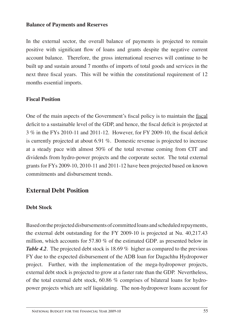#### **Balance of Payments and Reserves**

In the external sector, the overall balance of payments is projected to remain positive with significant flow of loans and grants despite the negative current account balance. Therefore, the gross international reserves will continue to be built up and sustain around 7 months of imports of total goods and services in the next three fiscal years. This will be within the constitutional requirement of 12 months essential imports.

### **Fiscal Position**

One of the main aspects of the Government's fiscal policy is to maintain the fiscal deficit to a sustainable level of the GDP, and hence, the fiscal deficit is projected at 3 % in the FYs 2010-11 and 2011-12. However, for FY 2009-10, the fiscal deficit is currently projected at about 6.91 %. Domestic revenue is projected to increase at a steady pace with almost 50% of the total revenue coming from CIT and dividends from hydro-power projects and the corporate sector. The total external grants for FYs 2009-10, 2010-11 and 2011-12 have been projected based on known commitments and disbursement trends.

# **External Debt Position**

### **Debt Stock**

Based on the projected disbursements of committed loans and scheduled repayments, the external debt outstanding for the FY 2009-10 is projected at Nu. 40,217.43 million, which accounts for 57.80 % of the estimated GDP. as presented below in *Table 4.2*. The projected debt stock is 18.69 % higher as compared to the previous FY due to the expected disbursement of the ADB loan for Dagachhu Hydropower project. Further, with the implementation of the mega-hydropower projects, external debt stock is projected to grow at a faster rate than the GDP. Nevertheless, of the total external debt stock, 60.86 % comprises of bilateral loans for hydropower projects which are self liquidating. The non-hydropower loans account for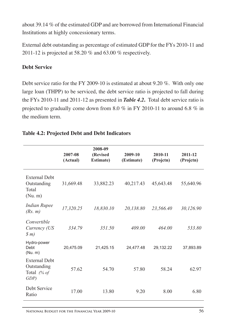about 39.14 % of the estimated GDP and are borrowed from International Financial Institutions at highly concessionary terms.

External debt outstanding as percentage of estimated GDP for the FYs 2010-11 and 2011-12 is projected at 58.20 % and 63.00 % respectively.

# **Debt Service**

Debt service ratio for the FY 2009-10 is estimated at about 9.20 %. With only one large loan (THPP) to be serviced, the debt service ratio is projected to fall during the FYs 2010-11 and 2011-12 as presented in *Table 4.2***.** Total debt service ratio is projected to gradually come down from 8.0 % in FY 2010-11 to around 6.8 % in the medium term.

|                                                              | 2007-08<br>(Actual) | 2008-09<br>(Revised<br><b>Estimate)</b> | 2009-10<br>(Estimate) | 2010-11<br>(Projetn) | 2011-12<br>(Projetn) |
|--------------------------------------------------------------|---------------------|-----------------------------------------|-----------------------|----------------------|----------------------|
| <b>External Debt</b><br>Outstanding<br>Total<br>(Nu. m)      | 31,669.48           | 33,882.23                               | 40,217.43             | 45,643.48            | 55,640.96            |
| <b>Indian Rupee</b><br>(Rs. m)                               | 17,320.25           | 18,830.10                               | 20,138.80             | 23,566.40            | 30,126.90            |
| Convertible<br>Currency (US<br>$\mathfrak{F}$ m)             | 334.79              | 351.50                                  | 409.00                | 464.00               | 533.80               |
| Hydro-power<br>Debt<br>(Nu. m)                               | 20,475.09           | 21,425.15                               | 24,477.48             | 29,132.22            | 37,893.89            |
| <b>External Debt</b><br>Outstanding<br>Total $(% of$<br>GDP) | 57.62               | 54.70                                   | 57.80                 | 58.24                | 62.97                |
| Debt Service<br>Ratio                                        | 17.00               | 13.80                                   | 9.20                  | 8.00                 | 6.80                 |

# **Table 4.2: Projected Debt and Debt Indicators**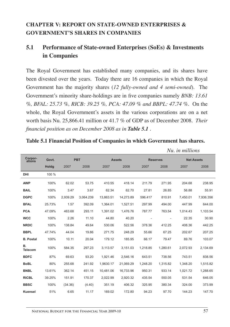# **CHAPTER V: REPORT ON STATE-OWNED ENTERPRISES & GOVERNMENT'S SHARES IN COMPANIES**

# **5.1 Performance of State-owned Enterprises (SoEs) & Investments in Companies**

The Royal Government has established many companies, and its shares have been divested over the years. Today there are 16 companies in which the Royal Government has the majority shares (*12 fully-owned and 4 semi-owned*). The Government's minority share-holdings are in five companies namely *BNB: 13.61 %, BFAL: 25.73 %, RICB: 39.25 %, PCA: 47.09 % and BBPL: 47.74 %*. On the whole, the Royal Government's assets in the various corporations are on a net worth basis Nu. 25,866.41 million or 41.7 % of GDP as of December 2008. *Their financial position as on December 2008 as in Table 5.1 .*

#### **Table 5.1 Financial Position of Companies in which Government has shares.**

*Nu. in millions*

| Corpor-<br>ations    | Govt.  | <b>PBT</b> |           |           | <b>Assets</b> |          | <b>Reserves</b> |          | <b>Net Assets</b> |  |
|----------------------|--------|------------|-----------|-----------|---------------|----------|-----------------|----------|-------------------|--|
|                      | Holdg  | 2007       | 2008      | 2007      | 2008          | 2007     | 2008            | 2007     | 2008              |  |
| DHI                  | 100 %  |            |           |           |               |          |                 |          |                   |  |
| <b>AWP</b>           | 100%   | 62.02      | 53.75     | 410.55    | 418.14        | 211.79   | 271.95          | 204.68   | 238.95            |  |
| <b>BAIL</b>          | 100%   | 3.47       | 3.67      | 62.34     | 62.70         | 27.81    | 26.85           | 56.88    | 55.91             |  |
| <b>DGPC</b>          | 100%   | 2.939.29   | 3.064.239 | 13.863.51 | 14.273.89     | 596.417  | 810.91          | 7.450.01 | 7.936.356         |  |
| <b>BFAL</b>          | 25.73% | 1.57       | 392.09    | 1.364.01  | 1.527.51      | 297.99   | 494.00          | 447.99   | 644.00            |  |
| <b>PCA</b>           | 47.09% | 463.68     | 293.11    | 1.391.02  | 1,476.76      | 787.77   | 763.54          | 1.014.43 | 1,103.54          |  |
| <b>WCC</b>           | 100%   | 2.26       | 11.10     | 44.80     | 40.20         |          |                 | 22.35    | 30.90             |  |
| <b>NRDC</b>          | 100%   | 138.84     | 49.64     | 530.06    | 522.56        | 378.36   | 412.25          | 408.36   | 442.25            |  |
| <b>BBPL</b>          | 47.74% | 44.04      | 19.86     | 271.75    | 248.29        | 55.66    | 67.25           | 202.67   | 207.25            |  |
| <b>B. Postal</b>     | 100%   | 10.11      | 20.04     | 179.12    | 185.95        | 66.17    | 79.47           | 89.76    | 103.07            |  |
| В.<br><b>Telecom</b> | 100%   | 584.35     | 297.23    | 3,113.57  | 3,151.03      | 1,218.85 | 1,280.61        | 2,072.93 | 2,134.69          |  |
| <b>BDFC</b>          | 87%    | 69.63      | 93.20     | 1.921.46  | 2.546.16      | 643.51   | 738.56          | 743.51   | 838.56            |  |
| <b>BoBL</b>          | 80%    | 255.68     | 241.92    | 1.9630.17 | 21.069.29     | 1.248.20 | 1,315.82        | 1.348.20 | 1,515.82          |  |
| <b>BNBL</b>          | 13.61% | 362.14     | 451.15    | 10.481.06 | 16,733.96     | 950.31   | 933.14          | 1,021.72 | 1,288.65          |  |
| <b>RICBL</b>         | 39.25% | 151.91     | 170.37    | 2,022.99  | 2,920.32      | 435.54   | 550.05          | 531.54   | 646.05            |  |
| <b>BBSC</b>          | 100%   | (34.36)    | (4.40)    | 351.19    | 406.32        | 325.95   | 380.34          | 324.00   | 373.99            |  |
| <b>Kuensel</b>       | 51%    | 6.65       | 11.17     | 169.02    | 172.80        | 94.23    | 97.70           | 144.23   | 147.70            |  |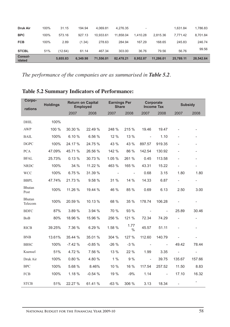| <b>BPC</b><br>100%<br>573.16<br>10.933.61<br>11.858.04<br>927.13<br>1.410.28<br>2.815.36<br>7.771.42<br><b>FCB</b><br>100%<br>2.89<br>278.63<br>284.94<br>167.29<br>245.83<br>(1.34)<br>168.65<br>51%<br><b>STCBL</b><br>303.00<br>79.56<br>56.76<br>467.34<br>36.76<br>(12.64)<br>61.14 | 8.701.84<br>246.74<br>99.56 |
|------------------------------------------------------------------------------------------------------------------------------------------------------------------------------------------------------------------------------------------------------------------------------------------|-----------------------------|
|                                                                                                                                                                                                                                                                                          |                             |
|                                                                                                                                                                                                                                                                                          |                             |
|                                                                                                                                                                                                                                                                                          |                             |
| 100%<br>31.15<br><b>Druk Air</b><br>194.94<br>4.069.81<br>4.276.35<br>1.631.84<br>۰                                                                                                                                                                                                      | 1.786.83                    |

*The performance of the companies are as summarised in Table 5.2.*

| Corpo-<br>rations | <b>Holdings</b> |          | <b>Return on Capital</b><br><b>Employed</b> | <b>Earnings Per</b><br><b>Share</b> |              |                          | Corporate<br><b>Income Tax</b> | <b>Subsidy</b>           |                          |
|-------------------|-----------------|----------|---------------------------------------------|-------------------------------------|--------------|--------------------------|--------------------------------|--------------------------|--------------------------|
|                   |                 | 2007     | 2008                                        | 2007                                | 2008         | 2007                     | 2008                           | 2007                     | 2008                     |
| <b>DHIL</b>       | 100%            |          |                                             |                                     |              |                          |                                |                          |                          |
| <b>AWP</b>        | 100 %           | 30.30 %  | 22.49 %                                     | 248 %                               | 215 %        | 19.46                    | 19.47                          |                          | $\overline{\phantom{0}}$ |
| <b>BAIL</b>       | 100%            | 6.10%    | 6.56 %                                      | 12 %                                | 13 %         | $\overline{\phantom{a}}$ | 1.10                           |                          |                          |
| <b>DGPC</b>       | 100%            | 24.17 %  | 24.75 %                                     | 43 %                                | 43 %         | 897.57                   | 919.35                         |                          | $\overline{a}$           |
| <b>PCA</b>        | 47.09%          | 45.71 %  | 26.56 %                                     | 142 %                               | 86 %         | 142.54                   | 130.92                         |                          | $\overline{a}$           |
| <b>BFAL</b>       | 25.73%          | 0.13%    | 30.73 %                                     | 1.05 %                              | 261 %        | 0.45                     | 113.58                         | $\overline{\phantom{a}}$ | $\overline{\phantom{0}}$ |
| <b>NRDC</b>       | 100%            | 34.%     | 11.22 %                                     | 463 %                               | 165 %        | 43.31                    | 15.22                          | $\overline{\phantom{a}}$ | $\overline{\phantom{a}}$ |
| <b>WCC</b>        | 100%            | 6.75 %   | 31.39 %                                     | $\overline{\phantom{a}}$            |              | 0.68                     | 3.15                           | 1.80                     | 1.80                     |
| <b>BBPL</b>       | 47.74%          | 21.73 %  | 9.58 %                                      | 31 %                                | 14 %         | 14.33                    | 6.87                           | $\overline{\phantom{0}}$ | $\overline{\phantom{a}}$ |
| Bhutan<br>Post    | 100%            | 11.26 %  | 19.44 %                                     | 46 %                                | 85 %         | 0.69                     | 6.13                           | 2.50                     | 3.00                     |
| Bhutan<br>Telecom | 100%            | 20.59 %  | 10.13 %                                     | 68 %                                | 35 %         | 178.74                   | 106.28                         |                          | $\overline{\phantom{0}}$ |
| <b>BDFC</b>       | 87%             | 3.89%    | 3.94 %                                      | 70 %                                | 93 %         | $\overline{\phantom{a}}$ |                                | 25.89                    | 30.46                    |
| <b>BoB</b>        | 80%             | 18.96 %  | 15.96 %                                     | 256 %                               | 121 %        | 72.34                    | 74.29                          |                          | $\overline{\phantom{a}}$ |
| <b>RICB</b>       | 39.25%          | 7.36 %   | 6.29 %                                      | 1.58 %                              | 1.77<br>$\%$ | 45.57                    | 51.11                          | $\overline{\phantom{0}}$ | $\overline{\phantom{a}}$ |
| <b>BNB</b>        | 13.61%          | 35.44 %  | 35.01 %                                     | 304 %                               | 127 %        | 112.60                   | 140.79                         | $\overline{\phantom{m}}$ | $\overline{\phantom{0}}$ |
| <b>BBSC</b>       | 100%            | $-7.42%$ | $-0.85%$                                    | $-26%$                              | $-3%$        | $\overline{\phantom{m}}$ | $\overline{\phantom{a}}$       | 49.42                    | 78.44                    |
| Kuensel           | 51%             | 4.72 %   | 7.56 %                                      | 13 %                                | 22 %         | 1.99                     | 3.35                           | $\overline{\phantom{a}}$ | $\overline{\phantom{a}}$ |
| Druk Air          | 100%            | 0.80%    | 4.80 %                                      | $1\%$                               | 9%           | $\overline{\phantom{a}}$ | 39.75                          | 135.67                   | 157.66                   |
| <b>BPC</b>        | 100%            | 5.68 %   | 8.46%                                       | 10 %                                | 16 %         | 117.54                   | 257.52                         | 11.50                    | 8.83                     |
| FCB               | 100%            | 1.18 %   | $-0.54%$                                    | 19 %                                | $-9%$        | 1.14                     |                                | 17.10                    | 16.32                    |
| <b>STCB</b>       | 51%             | 22.27 %  | 61.41 %                                     | $-63%$                              | 306 %        | 3.13                     | 18.34                          | $\overline{\phantom{a}}$ | $\overline{\phantom{a}}$ |

# **Table 5.2 Summary Indicators of Performance:**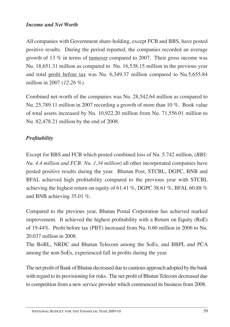### *Income and Net Worth*

All companies with Government share-holding, except FCB and BBS, have posted positive results. During the period reported, the companies recorded an average growth of 13 % in terms of turnover compared to 2007. Their gross income was Nu. 18,651.31 million as compared to Nu. 16,538.15 million in the previous year and total profit before tax was Nu. 6,349.37 million compared to Nu.5,655.84 million in 2007 (*12.26 %).*

Combined net-worth of the companies was Nu. 28,542.64 million as compared to Nu. 25,789.11 million in 2007 recording a growth of more than 10 %. Book value of total assets increased by Nu. 10,922.20 million from Nu. 71,556.01 million to Nu. 82,478.21 million by the end of 2008.

# *Profitability*

Except for BBS and FCB which posted combined loss of Nu. 5.742 million, (*BBS: Nu. 4.4 million and FCB: Nu. 1.34 million*) all other incorporated companies have posted positive results during the year. Bhutan Post, STCBL, DGPC, BNB and BFAL achieved high profitability compared to the previous year with STCBL achieving the highest return on equity of 61.41 %, DGPC 38.61 %, BFAL 60.88 % and BNB achieving 35.01 %.

Compared to the previous year, Bhutan Postal Corporation has achieved marked improvement. It achieved the highest profitability with a Return on Equity (RoE) of 19.44%. Profit before tax (PBT) increased from Nu. 0.60 million in 2006 to Nu. 20.037 million in 2008.

The BoBL, NRDC and Bhutan Telecom among the SoEs, and BBPL and PCA among the non-SoEs, experienced fall in profits during the year.

The net profit of Bank of Bhutan decreased due to cautious approach adopted by the bank with regard to its provisioning for risks. The net profit of Bhutan Telecom decreased due to competition from a new service provider which commenced its business from 2008.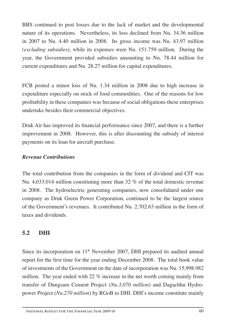BBS continued to post losses due to the lack of market and the developmental nature of its operations. Nevertheless, its loss declined from Nu. 34.36 million in 2007 to Nu. 4.40 million in 2008. Its gross income was Nu. 43.97 million *(excluding subsidies*), while its expenses were Nu. 151.759 million. During the year, the Government provided subsidies amounting to Nu. 78.44 million for current expenditures and Nu. 28.27 million for capital expenditures.

FCB posted a minor loss of Nu. 1.34 million in 2008 due to high increase in expenditure especially on stock of food commodities. One of the reasons for low profitability in these companies was because of social obligations these enterprises undertake besides their commercial objectives.

Druk Air has improved its financial performance since 2007, and there is a further improvement in 2008. However, this is after discounting the subsidy of interest payments on its loan for aircraft purchase.

# *Revenue Contributions*

The total contribution from the companies in the form of dividend and CIT was Nu. 4,033.014 million constituting more than 32 % of the total domestic revenue in 2008. The hydroelectric generating companies, now consolidated under one company as Druk Green Power Corporation, continued to be the largest source of the Government's revenues. It contributed Nu. 2,702.63 million in the form of taxes and dividends.

# **5.2 DHI**

Since its incorporation on  $11<sup>th</sup>$  November 2007, DHI prepared its audited annual report for the first time for the year ending December 2008. The total book value of investments of the Government on the date of incorporation was Nu. 15,998.982 million. The year ended with 22 % increase in the net worth coming mainly from transfer of Dungsam Cement Project (*Nu.3,070 million*) and Dagachhu Hydropower Project (*Nu.270 million*) by RGoB to DHI. DHI's income constitute mainly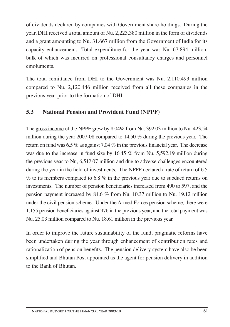of dividends declared by companies with Government share-holdings. During the year, DHI received a total amount of Nu. 2,223.380 million in the form of dividends and a grant amounting to Nu. 31.667 million from the Government of India for its capacity enhancement. Total expenditure for the year was Nu. 67.894 million, bulk of which was incurred on professional consultancy charges and personnel emoluments.

The total remittance from DHI to the Government was Nu. 2,110.493 million compared to Nu. 2,120.446 million received from all these companies in the previous year prior to the formation of DHI.

# **5.3 National Pension and Provident Fund (NPPF)**

The gross income of the NPPF grew by 8.04% from Nu. 392.03 million to Nu. 423.54 million during the year 2007-08 compared to 14.50 % during the previous year. The return on fund was 6.5 % as against 7,04 % in the previous financial year. The decrease was due to the increase in fund size by 16.45 % from Nu. 5,592.19 million during the previous year to Nu, 6,512.07 million and due to adverse challenges encountered during the year in the field of investments. The NPPF declared a <u>rate of return</u> of 6.5 % to its members compared to 6.8 % in the previous year due to subdued returns on investments. The number of pension beneficiaries increased from 490 to 597, and the pension payment increased by 84.6 % from Nu. 10.37 million to Nu. 19.12 million under the civil pension scheme. Under the Armed Forces pension scheme, there were 1,155 pension beneficiaries against 976 in the previous year, and the total payment was Nu. 25.03 million compared to Nu. 18.61 million in the previous year.

In order to improve the future sustainability of the fund, pragmatic reforms have been undertaken during the year through enhancement of contribution rates and rationalization of pension benefits. The pension delivery system have also be been simplified and Bhutan Post appointed as the agent for pension delivery in addition to the Bank of Bhutan.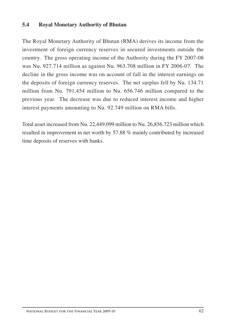### **5.4 Royal Monetary Authority of Bhutan**

The Royal Monetary Authority of Bhutan (RMA) derives its income from the investment of foreign currency reserves in secured investments outside the country. The gross operating income of the Authority during the FY 2007-08 was Nu. 927.714 million as against Nu. 963.708 million in FY 2006-07. The decline in the gross income was on account of fall in the interest earnings on the deposits of foreign currency reserves. The net surplus fell by Nu. 134.71 million from Nu. 791.454 million to Nu. 656.746 million compared to the previous year. The decrease was due to reduced interest income and higher interest payments amounting to Nu. 92.749 million on RMA bills.

Total asset increased from Nu. 22,449.099 million to Nu. 26,856.723 million which resulted in improvement in net worth by 57.88 % mainly contributed by increased time deposits of reserves with banks.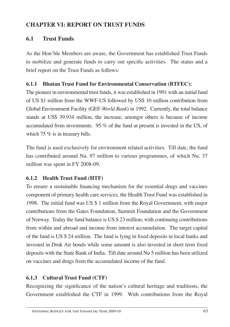# **CHAPTER VI: REPORT ON TRUST FUNDS**

# **6.1 Trust Funds**

As the Hon'ble Members are aware, the Government has established Trust Funds to mobilize and generate funds to carry out specific activities. The status and a brief report on the Trust Funds as follows:

# **6.1.1 Bhutan Trust Fund for Environmental Conservation (BTFEC):**

The pioneer in environmental trust funds, it was established in 1991 with an initial fund of US \$1 million from the WWF-US followed by US\$ 10 million contribution from Global Environment Facility (GEF-*World Bank*) in 1992. Currently, the total balance stands at US\$ 39.934 million, the increase, amongst others is because of income accumulated from investments. 95 % of the fund at present is invested in the US, of which 75 % is in treasury bills.

The fund is used exclusively for environment related activities. Till date, the fund has contributed around Nu. 97 million to various programmes, of which Nu. 37 million was spent in FY 2008-09.

# **6.1.2 Health Trust Fund (HTF)**

To ensure a sustainable financing mechanism for the essential drugs and vaccines component of primary health care services, the Health Trust Fund was established in 1998. The initial fund was US \$ 1 million from the Royal Government, with major contributions from the Gates Foundation, Summit Foundation and the Government of Norway. Today the fund balance is US \$ 23 million, with continuing contributions from within and abroad and income from interest accumulation. The target capital of the fund is US \$ 24 million. The fund is lying in fixed deposits in local banks and invested in Druk Air bonds while some amount is also invested in short term fixed deposits with the State Bank of India. Till date around Nu 5 million has been utilized on vaccines and drugs from the accumulated income of the fund.

# **6.1.3 Cultural Trust Fund (CTF)**

Recognizing the significance of the nation's cultural heritage and traditions, the Government established the CTF in 1999. With contributions from the Royal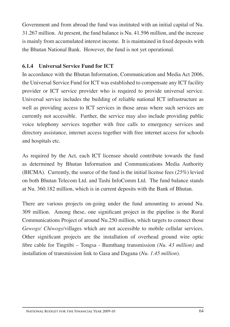Government and from abroad the fund was instituted with an initial capital of Nu. 31.267 million. At present, the fund balance is Nu. 41.596 million, and the increase is mainly from accumulated interest income. It is maintained in fixed deposits with the Bhutan National Bank. However, the fund is not yet operational.

# **6.1.4 Universal Service Fund for ICT**

In accordance with the Bhutan Information, Communication and Media Act 2006, the Universal Service Fund for ICT was established to compensate any ICT facility provider or ICT service provider who is required to provide universal service. Universal service includes the building of reliable national ICT infrastructure as well as providing access to ICT services in those areas where such services are currently not accessible. Further, the service may also include providing public voice telephony services together with free calls to emergency services and directory assistance, internet access together with free internet access for schools and hospitals etc.

As required by the Act, each ICT licensee should contribute towards the fund as determined by Bhutan Information and Communications Media Authority (BICMA). Currently, the source of the fund is the initial license fees (*25%*) levied on both Bhutan Telecom Ltd. and Tashi InfoComm Ltd. The fund balance stands at Nu. 360.182 million, which is in current deposits with the Bank of Bhutan.

There are various projects on-going under the fund amounting to around Nu. 309 million. Among these, one significant project in the pipeline is the Rural Communications Project of around Nu.250 million, which targets to connect those *Gewogs/ Chiwogs*/villages which are not accessible to mobile cellular services. Other significant projects are the installation of overhead ground wire optic fibre cable for Tingtibi – Tongsa - Bumthang transmission *(Nu. 43 million)* and installation of transmission link to Gasa and Dagana (*Nu. 1.45 million*).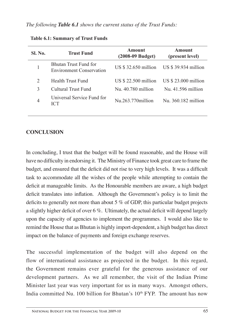| <b>Trust Fund</b>                                               | <b>Amount</b><br>$(2008-09$ Budget) | Amount<br>(present level) |
|-----------------------------------------------------------------|-------------------------------------|---------------------------|
| <b>Bhutan Trust Fund for</b><br><b>Environment Conservation</b> | US \$32.650 million                 | US \$39.934 million       |
| Health Trust Fund                                               | US \$22.500 million                 | US $$23.000$ million      |
| Cultural Trust Fund                                             | Nu. 40.780 million                  | Nu. $41.596$ million      |
| Universal Service Fund for<br><b>ICT</b>                        | $Nu.263.770$ million                | Nu. 360.182 million       |
|                                                                 |                                     |                           |

**Table 6.1: Summary of Trust Funds**

# **CONCLUSION**

In concluding, I trust that the budget will be found reasonable, and the House will have no difficulty in endorsing it. The Ministry of Finance took great care to frame the budget, and ensured that the deficit did not rise to very high levels. It was a difficult task to accommodate all the wishes of the people while attempting to contain the deficit at manageable limits. As the Honourable members are aware, a high budget deficit translates into inflation. Although the Government's policy is to limit the deficits to generally not more than about 5 % of GDP, this particular budget projects a slightly higher deficit of over 6 %. Ultimately, the actual deficit will depend largely upon the capacity of agencies to implement the programmes. I would also like to remind the House that as Bhutan is highly import-dependent, a high budget has direct impact on the balance of payments and foreign exchange reserves.

The successful implementation of the budget will also depend on the flow of international assistance as projected in the budget. In this regard, the Government remains ever grateful for the generous assistance of our development partners. As we all remember, the visit of the Indian Prime Minister last year was very important for us in many ways. Amongst others, India committed Nu. 100 billion for Bhutan's  $10<sup>th</sup> FYP$ . The amount has now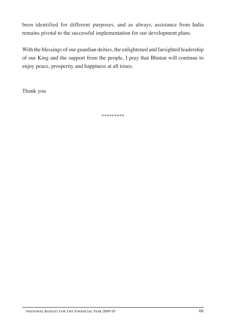been identified for different purposes, and as always, assistance from India remains pivotal to the successful implementation for our development plans.

With the blessings of our guardian deities, the enlightened and farsighted leadership of our King and the support from the people, I pray that Bhutan will continue to enjoy peace, prosperity and happiness at all times.

Thank you

\*\*\*\*\*\*\*\*\*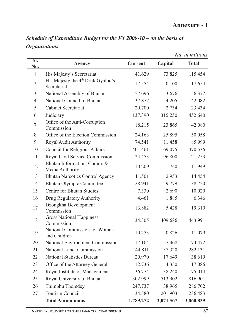|                  |                                                              |                |           | Nu. in millions |
|------------------|--------------------------------------------------------------|----------------|-----------|-----------------|
| SI.<br>No.       | <b>Agency</b>                                                | <b>Current</b> | Capital   | <b>Total</b>    |
| $\mathbf{1}$     | His Majesty's Secretariat                                    | 41.629         | 73.825    | 115.454         |
| $\overline{2}$   | His Majesty the 4 <sup>th</sup> Druk Gyalpo's<br>Secretariat | 17.554         | 0.100     | 17.654          |
| 3                | National Assembly of Bhutan                                  | 52.696         | 3.676     | 56.372          |
| $\overline{4}$   | National Council of Bhutan                                   | 37.877         | 4.205     | 42.082          |
| 5                | <b>Cabinet Secretariat</b>                                   | 20.700         | 2.734     | 23.434          |
| 6                | Judiciary                                                    | 137.390        | 315.250   | 452.640         |
| $\boldsymbol{7}$ | Office of the Anti-Corruption<br>Commission                  | 18.215         | 23.865    | 42.080          |
| 8                | Office of the Election Commission                            | 24.163         | 25.895    | 50.058          |
| 9                | Royal Audit Authority                                        | 74.541         | 11.458    | 85.999          |
| 10               | <b>Council for Religious Affairs</b>                         | 401.461        | 69.075    | 470.536         |
| 11               | Royal Civil Service Commission                               | 24.453         | 96.800    | 121.253         |
| 12               | Bhutan Information, Comm. &<br>Media Authority               | 10.209         | 1.740     | 11.949          |
| 13               | <b>Bhutan Narcotics Control Agency</b>                       | 11.501         | 2.953     | 14.454          |
| 14               | <b>Bhutan Olympic Committee</b>                              | 28.941         | 9.779     | 38.720          |
| 15               | <b>Centre for Bhutan Studies</b>                             | 7.330          | 2.690     | 10.020          |
| 16               | Drug Regulatory Authority                                    | 4.461          | 1.885     | 6.346           |
| 17               | Dzongkha Development<br>Commission                           | 13.882         | 5.428     | 19.310          |
| 18               | <b>Gross National Happiness</b><br>Commission                | 34.305         | 409.686   | 443.991         |
| 19               | National Commission for Women<br>and Children                | 10.253         | 0.826     | 11.079          |
| 20               | National Environment Commission                              | 17.104         | 57.368    | 74.472          |
| 21               | National Land Commission                                     | 144.811        | 137.320   | 282.131         |
| 22               | <b>National Statistics Bureau</b>                            | 20.970         | 17.649    | 38.619          |
| 23               | Office of the Attorney General                               | 12.736         | 4.350     | 17.086          |
| 24               | Royal Institute of Management                                | 36.774         | 38.240    | 75.014          |
| 25               | Royal University of Bhutan                                   | 302.999        | 513.902   | 816.901         |
| 26               | Thimphu Thomdey                                              | 247.737        | 38.965    | 286.702         |
| 27               | Tourism Council                                              | 34.580         | 201.903   | 236.483         |
|                  | <b>Total Autonomous</b>                                      | 1,789.272      | 2,071.567 | 3,860.839       |

*Schedule of Expenditure Budget for the FY 2009-10 – on the basis of Organisations*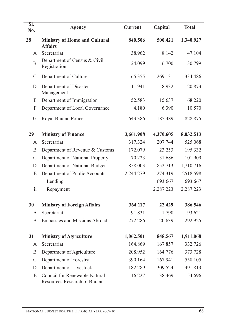| SI.<br>No.              | <b>Agency</b>                                                 | <b>Current</b> | Capital   | <b>Total</b> |
|-------------------------|---------------------------------------------------------------|----------------|-----------|--------------|
| 28                      | <b>Ministry of Home and Cultural</b><br><b>Affairs</b>        | 840.506        | 500.421   | 1,340.927    |
| A                       | Secretariat                                                   | 38.962         | 8.142     | 47.104       |
| B                       | Department of Census & Civil<br>Registration                  | 24.099         | 6.700     | 30.799       |
| $\mathcal{C}$           | Department of Culture                                         | 65.355         | 269.131   | 334.486      |
| D                       | Department of Disaster<br>Management                          | 11.941         | 8.932     | 20.873       |
| E                       | Department of Immigration                                     | 52.583         | 15.637    | 68.220       |
| F                       | Department of Local Governance                                | 4.180          | 6.390     | 10.570       |
| G                       | Royal Bhutan Police                                           | 643.386        | 185.489   | 828.875      |
| 29                      | <b>Ministry of Finance</b>                                    | 3,661.908      | 4,370.605 | 8,032.513    |
| $\mathsf{A}$            | Secretariat                                                   | 317.324        | 207.744   | 525.068      |
| B                       | Department of Revenue & Customs                               | 172.079        | 23.253    | 195.332      |
| $\mathcal{C}$           | Department of National Property                               | 70.223         | 31.686    | 101.909      |
| D                       | Department of National Budget                                 | 858.003        | 852.713   | 1,710.716    |
| E                       | Department of Public Accounts                                 | 2,244.279      | 274.319   | 2518.598     |
| $\mathbf{i}$            | Lending                                                       |                | 693.667   | 693.667      |
| $\overline{\mathbf{u}}$ | Repayment                                                     |                | 2,287.223 | 2,287.223    |
| 30                      | <b>Ministry of Foreign Affairs</b>                            | 364.117        | 22.429    | 386.546      |
| A                       | Secretariat                                                   | 91.831         | 1.790     | 93.621       |
| B                       | <b>Embassies and Missions Abroad</b>                          | 272.286        | 20.639    | 292.925      |
| 31                      | <b>Ministry of Agriculture</b>                                | 1,062.501      | 848.567   | 1,911.068    |
| A                       | Secretariat                                                   | 164.869        | 167.857   | 332.726      |
| B                       | Department of Agriculture                                     | 208.952        | 164.776   | 373.728      |
| $\mathcal{C}$           | Department of Forestry                                        | 390.164        | 167.941   | 558.105      |
| D                       | Department of Livestock                                       | 182.289        | 309.524   | 491.813      |
| E                       | Council for Renewable Natural<br>Resources Research of Bhutan | 116.227        | 38.469    | 154.696      |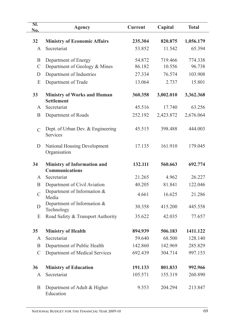| SI.<br>No.    | <b>Agency</b>                                               | <b>Current</b> | Capital   | <b>Total</b> |
|---------------|-------------------------------------------------------------|----------------|-----------|--------------|
| 32            | <b>Ministry of Economic Affairs</b>                         | 235.304        | 820.875   | 1,056.179    |
| A             | Secretariat                                                 | 53.852         | 11.542    | 65.394       |
| B             | Department of Energy                                        | 54.872         | 719.466   | 774.338      |
| $\mathcal{C}$ | Department of Geology & Mines                               | 86.182         | 10.556    | 96.738       |
| D             | Department of Industries                                    | 27.334         | 76.574    | 103.908      |
| E             | Department of Trade                                         | 13.064         | 2.737     | 15.801       |
| 33            | <b>Ministry of Works and Human</b><br><b>Settlement</b>     | 360.358        | 3,002.010 | 3,362.368    |
| A             | Secretariat                                                 | 45.516         | 17.740    | 63.256       |
| B             | Department of Roads                                         | 252.192        | 2,423.872 | 2,676.064    |
| $\mathcal{C}$ | Dept. of Urban Dev. & Engineering<br><b>Services</b>        | 45.515         | 398.488   | 444.003      |
| D             | <b>National Housing Development</b><br>Organisation         | 17.135         | 161.910   | 179.045      |
| 34            | <b>Ministry of Information and</b><br><b>Communications</b> | 132.111        | 560.663   | 692.774      |
| A             | Secretariat                                                 | 21.265         | 4.962     | 26.227       |
| B             | Department of Civil Aviation                                | 40.205         | 81.841    | 122.046      |
| $\mathcal{C}$ | Department of Information $&$<br>Media                      | 4.661          | 16.625    | 21.286       |
| D             | Department of Information &<br>Technology                   | 30.358         | 415.200   | 445.558      |
| E             | Road Safety & Transport Authority                           | 35.622         | 42.035    | 77.657       |
| 35            | <b>Ministry of Health</b>                                   | 894.939        | 506.183   | 1411.122     |
| A             | Secretariat                                                 | 59.640         | 68.500    | 128.140      |
| B             | Department of Public Health                                 | 142.860        | 142.969   | 285.829      |
| $\mathcal{C}$ | Department of Medical Services                              | 692.439        | 304.714   | 997.153      |
| 36            | <b>Ministry of Education</b>                                | 191.133        | 801.833   | 992.966      |
| A             | Secretariat                                                 | 105.571        | 155.319   | 260.890      |
| B             | Department of Adult & Higher<br>Education                   | 9.553          | 204.294   | 213.847      |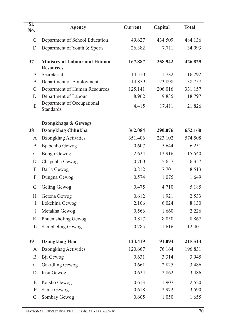| SI.<br>No.    | <b>Agency</b>                                           | <b>Current</b> | Capital | <b>Total</b> |
|---------------|---------------------------------------------------------|----------------|---------|--------------|
| $\mathcal{C}$ | Department of School Education                          | 49.627         | 434.509 | 484.136      |
| D             | Department of Youth & Sports                            | 26.382         | 7.711   | 34.093       |
| 37            | <b>Ministry of Labour and Human</b><br><b>Resources</b> | 167.887        | 258.942 | 426.829      |
| A             | Secretariat                                             | 14.510         | 1.782   | 16.292       |
| B             | Department of Employment                                | 14.859         | 23.898  | 38.757       |
| $\mathcal{C}$ | Department of Human Resources                           | 125.141        | 206.016 | 331.157      |
| D             | Department of Labour                                    | 8.962          | 9.835   | 18.797       |
| E             | Department of Occupational<br><b>Standards</b>          | 4.415          | 17.411  | 21.826       |
|               | Dzongkhags & Gewogs                                     |                |         |              |
| 38            | <b>Dzongkhag Chhukha</b>                                | 362.084        | 290.076 | 652.160      |
| A             | Dzongkhag Activities                                    | 351.406        | 223.102 | 574.508      |
| B             | Bjabchho Gewog                                          | 0.607          | 5.644   | 6.251        |
| $\mathcal{C}$ | <b>Bongo Gewog</b>                                      | 2.624          | 12.916  | 15.540       |
| D             | Chapchha Gewog                                          | 0.700          | 5.657   | 6.357        |
| E             | Darla Gewog                                             | 0.812          | 7.701   | 8.513        |
| F             | Dungna Gewog                                            | 0.574          | 1.075   | 1.649        |
| G             | Geling Gewog                                            | 0.475          | 4.710   | 5.185        |
| H             | Getena Gewog                                            | 0.612          | 1.921   | 2.533        |
| I             | Lokchina Gewog                                          | 2.106          | 6.024   | 8.130        |
| $\bf J$       | Metakha Gewog                                           | 0.566          | 1.660   | 2.226        |
| K             | Phuentsholing Gewog                                     | 0.817          | 8.050   | 8.867        |
| L             | Sampheling Gewog                                        | 0.785          | 11.616  | 12.401       |
| 39            | Dzongkhag Haa                                           | 124.419        | 91.094  | 215.513      |
| A             | Dzongkhag Activities                                    | 120.667        | 76.164  | 196.831      |
| B             | Bji Gewog                                               | 0.631          | 3.314   | 3.945        |
| $\mathcal{C}$ | <b>Gakidling Gewog</b>                                  | 0.661          | 2.825   | 3.486        |
| D             | Iusu Gewog                                              | 0.624          | 2.862   | 3.486        |
| E             | Katsho Gewog                                            | 0.613          | 1.907   | 2.520        |
| F             | Sama Gewog                                              | 0.618          | 2.972   | 3.590        |
| G             | Sombay Gewog                                            | 0.605          | 1.050   | 1.655        |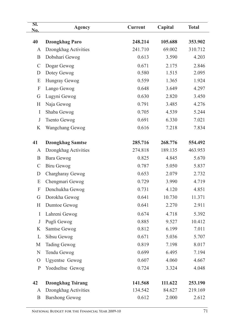| SI.<br>No.                | <b>Agency</b>            | <b>Current</b> | Capital | <b>Total</b> |
|---------------------------|--------------------------|----------------|---------|--------------|
|                           |                          |                |         |              |
| 40                        | <b>Dzongkhag Paro</b>    | 248.214        | 105.688 | 353.902      |
| A                         | Dzongkhag Activities     | 241.710        | 69.002  | 310.712      |
| B                         | Dobshari Gewog           | 0.613          | 3.590   | 4.203        |
| $\mathcal{C}$             | Dogar Gewog              | 0.671          | 2.175   | 2.846        |
| D                         | Dotey Gewog              | 0.580          | 1.515   | 2.095        |
| E                         | Hungray Gewog            | 0.559          | 1.365   | 1.924        |
| F                         | Lango Gewog              | 0.648          | 3.649   | 4.297        |
| G                         | Lugyni Gewog             | 0.630          | 2.820   | 3.450        |
| H                         | Naja Gewog               | 0.791          | 3.485   | 4.276        |
| $\bf{I}$                  | Shaba Gewog              | 0.705          | 4.539   | 5.244        |
| $\bf J$                   | <b>Tsento Gewog</b>      | 0.691          | 6.330   | 7.021        |
| K                         | Wangchang Gewog          | 0.616          | 7.218   | 7.834        |
| 41                        | <b>Dzongkhag Samtse</b>  | 285.716        | 268.776 | 554.492      |
| A                         | Dzongkhag Activities     | 274.818        | 189.135 | 463.953      |
| B                         | Bara Gewog               | 0.825          | 4.845   | 5.670        |
| $\mathcal{C}$             | Biru Gewog               | 0.787          | 5.050   | 5.837        |
| D                         | Chargharay Gewog         | 0.653          | 2.079   | 2.732        |
| E                         | Chengmari Gewog          | 0.729          | 3.990   | 4.719        |
| $\boldsymbol{\mathrm{F}}$ | Denchukha Gewog          | 0.731          | 4.120   | 4.851        |
| G                         | Dorokha Gewog            | 0.641          | 10.730  | 11.371       |
| H                         | Dumtoe Gewog             | 0.641          | 2.270   | 2.911        |
| I                         | Lahreni Gewog            | 0.674          | 4.718   | 5.392        |
| $\bf J$                   | Pugli Gewog              | 0.885          | 9.527   | 10.412       |
| K                         | Samtse Gewog             | 0.812          | 6.199   | 7.011        |
| L                         | Sibsu Gewog              | 0.671          | 5.036   | 5.707        |
| М                         | <b>Tading Gewog</b>      | 0.819          | 7.198   | 8.017        |
| ${\bf N}$                 | Tendu Gewog              | 0.699          | 6.495   | 7.194        |
| $\mathcal{O}$             | <b>Ugyentse Gewog</b>    | 0.607          | 4.060   | 4.667        |
|                           |                          | 0.724          |         |              |
| $\mathbf P$               | Yoedseltse Gewog         |                | 3.324   | 4.048        |
| 42                        | <b>Dzongkhag Tsirang</b> | 141.568        | 111.622 | 253.190      |
| A                         | Dzongkhag Activities     | 134.542        | 84.627  | 219.169      |
| B                         | <b>Barshong Gewog</b>    | 0.612          | 2.000   | 2.612        |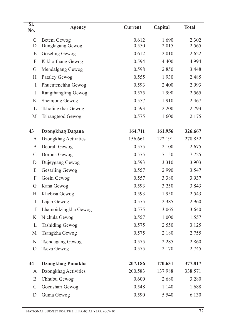| SI.<br>No.    | Agency                   | <b>Current</b> | Capital | <b>Total</b> |
|---------------|--------------------------|----------------|---------|--------------|
| $\mathcal{C}$ | Beteni Gewog             | 0.612          | 1.690   | 2.302        |
| D             | Dunglagang Gewog         | 0.550          | 2.015   | 2.565        |
| E             | Goseling Gewog           | 0.612          | 2.010   | 2.622        |
| F             | Kikhorthang Gewog        | 0.594          | 4.400   | 4.994        |
| G             | Mendalgang Gewog         | 0.598          | 2.850   | 3.448        |
| Н             | Pataley Gewog            | 0.555          | 1.930   | 2.485        |
| I             | Phuentenchhu Gewog       | 0.593          | 2.400   | 2.993        |
| $\bf J$       | Rangthangling Gewog      | 0.575          | 1.990   | 2.565        |
| K             | Shemjong Gewog           | 0.557          | 1.910   | 2.467        |
| L             | Tsholingkhar Gewog       | 0.593          | 2.200   | 2.793        |
| M             | Tsirangteod Gewog        | 0.575          | 1.600   | 2.175        |
| 43            | <b>Dzongkhag Dagana</b>  | 164.711        | 161.956 | 326.667      |
| A             | Dzongkhag Activities     | 156.661        | 122.191 | 278.852      |
| B             | Deorali Gewog            | 0.575          | 2.100   | 2.675        |
| $\mathcal{C}$ | Dorona Gewog             | 0.575          | 7.150   | 7.725        |
| D             | Dujeygang Gewog          | 0.593          | 3.310   | 3.903        |
| E             | <b>Gesarling Gewog</b>   | 0.557          | 2.990   | 3.547        |
| F             | Goshi Gewog              | 0.557          | 3.380   | 3.937        |
| G             | Kana Gewog               | 0.593          | 3.250   | 3.843        |
| H             | Khebisa Gewog            | 0.593          | 1.950   | 2.543        |
| I             | Lajab Gewog              | 0.575          | 2.385   | 2.960        |
| $\mathbf J$   | Lhamoidzingkha Gewog     | 0.575          | 3.065   | 3.640        |
| K             | Nichula Gewog            | 0.557          | 1.000   | 1.557        |
| L             | <b>Tashiding Gewog</b>   | 0.575          | 2.550   | 3.125        |
| M             | Tsangkha Gewog           | 0.575          | 2.180   | 2.755        |
| ${\bf N}$     | <b>Tsendagang Gewog</b>  | 0.575          | 2.285   | 2.860        |
| $\mathcal{O}$ | <b>Tseza Gewog</b>       | 0.575          | 2.170   | 2.745        |
| 44            | <b>Dzongkhag Punakha</b> | 207.186        | 170.631 | 377.817      |
| A             | Dzongkhag Activities     | 200.583        | 137.988 | 338.571      |
| B             | Chhubu Gewog             | 0.600          | 2.680   | 3.280        |
| $\mathcal{C}$ | Goenshari Gewog          | 0.548          | 1.140   | 1.688        |
| D             | Guma Gewog               | 0.590          | 5.540   | 6.130        |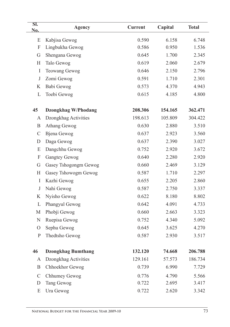| SI.<br>No.                | <b>Agency</b>              | <b>Current</b> | Capital | <b>Total</b> |
|---------------------------|----------------------------|----------------|---------|--------------|
| E                         | Kabjisa Gewog              | 0.590          | 6.158   | 6.748        |
| $\boldsymbol{\mathrm{F}}$ | Lingbukha Gewog            | 0.586          | 0.950   | 1.536        |
| G                         | Shengana Gewog             | 0.645          | 1.700   | 2.345        |
| H                         | Talo Gewog                 | 0.619          | 2.060   | 2.679        |
| I                         | <b>Teowang Gewog</b>       | 0.646          | 2.150   | 2.796        |
| $\bf J$                   | Zomi Gewog                 | 0.591          | 1.710   | 2.301        |
| K                         | Babi Gewog                 | 0.573          | 4.370   | 4.943        |
| L                         | Toebi Gewog                | 0.615          | 4.185   | 4.800        |
| 45                        | <b>Dzongkhag W/Phodang</b> | 208.306        | 154.165 | 362.471      |
| A                         | Dzongkhag Activities       | 198.613        | 105.809 | 304.422      |
| B                         | Athang Gewog               | 0.630          | 2.880   | 3.510        |
| $\mathcal{C}$             | Bjena Gewog                | 0.637          | 2.923   | 3.560        |
| D                         | Daga Gewog                 | 0.637          | 2.390   | 3.027        |
| E                         | Dangchhu Gewog             | 0.752          | 2.920   | 3.672        |
| F                         | <b>Gangtey Gewog</b>       | 0.640          | 2.280   | 2.920        |
| G                         | Gasey Tshogongm Gewog      | 0.660          | 2.469   | 3.129        |
| H                         | Gasey Tshowogm Gewog       | 0.587          | 1.710   | 2.297        |
| I                         | Kazhi Gewog                | 0.655          | 2.205   | 2.860        |
| J                         | Nahi Gewog                 | 0.587          | 2.750   | 3.337        |
| K                         | Nyisho Gewog               | 0.622          | 8.180   | 8.802        |
| L                         | Phangyul Gewog             | 0.642          | 4.091   | 4.733        |
| М                         | Phobji Gewog               | 0.660          | 2.663   | 3.323        |
| N                         | Ruepisa Gewog              | 0.752          | 4.340   | 5.092        |
| $\overline{O}$            | Sephu Gewog                | 0.645          | 3.625   | 4.270        |
| $\mathbf{P}$              | Thedtsho Gewog             | 0.587          | 2.930   | 3.517        |
| 46                        | <b>Dzongkhag Bumthang</b>  | 132.120        | 74.668  | 206.788      |
| A                         | Dzongkhag Activities       | 129.161        | 57.573  | 186.734      |
| B                         | Chhoekhor Gewog            | 0.739          | 6.990   | 7.729        |
| $\mathcal{C}$             | Chhumey Gewog              | 0.776          | 4.790   | 5.566        |
| D                         | Tang Gewog                 | 0.722          | 2.695   | 3.417        |
| E                         | Ura Gewog                  | 0.722          | 2.620   | 3.342        |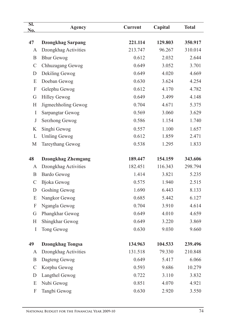| SI.<br>No.                | <b>Agency</b>             | <b>Current</b> | Capital | <b>Total</b> |
|---------------------------|---------------------------|----------------|---------|--------------|
|                           |                           |                |         |              |
| 47                        | <b>Dzongkhag Sarpang</b>  | 221.114        | 129.803 | 350.917      |
| A                         | Dzongkhag Activities      | 213.747        | 96.267  | 310.014      |
| B                         | <b>Bhur Gewog</b>         | 0.612          | 2.032   | 2.644        |
| $\mathsf C$               | Chhuzagang Gewog          | 0.649          | 3.052   | 3.701        |
| D                         | Dekiling Gewog            | 0.649          | 4.020   | 4.669        |
| E                         | Doeban Gewog              | 0.630          | 3.624   | 4.254        |
| $\boldsymbol{\mathrm{F}}$ | Gelephu Gewog             | 0.612          | 4.170   | 4.782        |
| G                         | <b>Hilley Gewog</b>       | 0.649          | 3.499   | 4.148        |
| $H_{\rm}$                 | Jigmechholing Gewog       | 0.704          | 4.671   | 5.375        |
| I                         | Sarpangtar Gewog          | 0.569          | 3.060   | 3.629        |
| $\mathbf{J}$              | Serzhong Gewog            | 0.586          | 1.154   | 1.740        |
| K                         | Singhi Gewog              | 0.557          | 1.100   | 1.657        |
| L                         | <b>Umling Gewog</b>       | 0.612          | 1.859   | 2.471        |
| M                         | Tareythang Gewog          | 0.538          | 1.295   | 1.833        |
| 48                        | <b>Dzongkhag Zhemgang</b> | 189.447        | 154.159 | 343.606      |
| A                         | Dzongkhag Activities      | 182.451        | 116.343 | 298.794      |
| B                         | <b>Bardo Gewog</b>        | 1.414          | 3.821   | 5.235        |
| $\mathbf C$               | <b>Bjoka</b> Gewog        | 0.575          | 1.940   | 2.515        |
| D                         | <b>Goshing Gewog</b>      | 1.690          | 6.443   | 8.133        |
| E                         | Nangkor Gewog             | 0.685          | 5.442   | 6.127        |
| F                         | Ngangla Gewog             | 0.704          | 3.910   | 4.614        |
| G                         | Phangkhar Gewog           | 0.649          | 4.010   | 4.659        |
| $H_{\rm}$                 | Shingkhar Gewog           | 0.649          | 3.220   | 3.869        |
| I                         | Tong Gewog                | 0.630          | 9.030   | 9.660        |
| 49                        | <b>Dzongkhag Tongsa</b>   | 134.963        | 104.533 | 239.496      |
| A                         | Dzongkhag Activities      | 131.518        | 79.330  | 210.848      |
| B                         | Dagteng Gewog             | 0.649          | 5.417   | 6.066        |
| $\mathcal{C}$             | Korphu Gewog              | 0.593          | 9.686   | 10.279       |
| D                         | Langthel Gewog            | 0.722          | 3.110   | 3.832        |
| E                         | Nubi Gewog                | 0.851          | 4.070   | 4.921        |
| F                         | Tangbi Gewog              | 0.630          | 2.920   | 3.550        |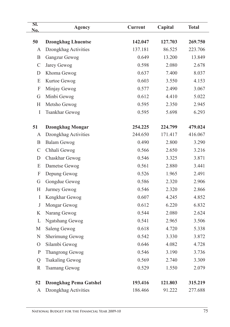| SI.<br>No.    | <b>Agency</b>                 | <b>Current</b>     | Capital           | <b>Total</b>       |
|---------------|-------------------------------|--------------------|-------------------|--------------------|
|               |                               |                    |                   |                    |
| 50<br>A       | <b>Dzongkhag Lhuentse</b>     | 142.047<br>137.181 | 127.703<br>86.525 | 269.750<br>223.706 |
| B             | Dzongkhag Activities          | 0.649              | 13.200            | 13.849             |
|               | Gangzur Gewog                 |                    |                   |                    |
| $\mathcal{C}$ | Jarey Gewog                   | 0.598              | 2.080             | 2.678              |
| D             | Khoma Gewog                   | 0.637              | 7.400             | 8.037              |
| E             | Kurtoe Gewog                  | 0.603              | 3.550             | 4.153              |
| F             | Minjay Gewog                  | 0.577              | 2.490             | 3.067              |
| G             | Minbi Gewog                   | 0.612              | 4.410             | 5.022              |
| H             | Metsho Gewog                  | 0.595              | 2.350             | 2.945              |
| $\bf{I}$      | <b>Tsankhar Gewog</b>         | 0.595              | 5.698             | 6.293              |
| 51            | <b>Dzongkhag Mongar</b>       | 254.225            | 224.799           | 479.024            |
| A             | Dzongkhag Activities          | 244.650            | 171.417           | 416.067            |
| B             | <b>Balam Gewog</b>            | 0.490              | 2.800             | 3.290              |
| $\mathcal{C}$ | Chhali Gewog                  | 0.566              | 2.650             | 3.216              |
| D             | Chaskhar Gewog                | 0.546              | 3.325             | 3.871              |
| E             | Dametse Gewog                 | 0.561              | 2.880             | 3.441              |
| F             | Depung Gewog                  | 0.526              | 1.965             | 2.491              |
| G             | Gongdue Gewog                 | 0.586              | 2.320             | 2.906              |
| H             | Jurmey Gewog                  | 0.546              | 2.320             | 2.866              |
| $\bf{I}$      | Kengkhar Gewog                | 0.607              | 4.245             | 4.852              |
| $_{\rm J}$    | Mongar Gewog                  | 0.612              | 6.220             | 6.832              |
| K             | Narang Gewog                  | 0.544              | 2.080             | 2.624              |
| L             | <b>Ngatshang Gewog</b>        | 0.541              | 2.965             | 3.506              |
| M             | Saleng Gewog                  | 0.618              | 4.720             | 5.338              |
| $\mathbf N$   | Sherimung Gewog               | 0.542              | 3.330             | 3.872              |
| $\mathcal{O}$ | Silambi Gewog                 | 0.646              | 4.082             | 4.728              |
| $\mathbf P$   | Thangrong Gewog               | 0.546              | 3.190             | 3.736              |
| Q             | <b>Tsakaling Gewog</b>        | 0.569              | 2.740             | 3.309              |
| $\mathbf R$   | <b>Tsamang Gewog</b>          | 0.529              | 1.550             | 2.079              |
| 52            | <b>Dzongkhag Pema Gatshel</b> | 193.416            | 121.803           | 315.219            |
| A             | Dzongkhag Activities          | 186.466            | 91.222            | 277.688            |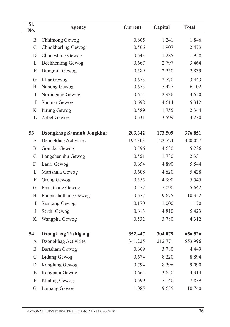| SI.<br>No.    | Agency                           | <b>Current</b> | Capital | <b>Total</b> |
|---------------|----------------------------------|----------------|---------|--------------|
| B             | Chhimong Gewog                   | 0.605          | 1.241   | 1.846        |
| $\mathcal{C}$ | Chhokhorling Gewog               | 0.566          | 1.907   | 2.473        |
| D             | Chongshing Gewog                 | 0.643          | 1.285   | 1.928        |
| E             | Dechhenling Gewog                | 0.667          | 2.797   | 3.464        |
| F             | Dungmin Gewog                    | 0.589          | 2.250   | 2.839        |
| G             | Khar Gewog                       | 0.673          | 2.770   | 3.443        |
| H             | Nanong Gewog                     | 0.675          | 5.427   | 6.102        |
| I             | Norbugang Gewog                  | 0.614          | 2.936   | 3.550        |
| $\mathbf{J}$  | Shumar Gewog                     | 0.698          | 4.614   | 5.312        |
| K             | <b>Iurung Gewog</b>              | 0.589          | 1.755   | 2.344        |
| L             | Zobel Gewog                      | 0.631          | 3.599   | 4.230        |
| 53            | <b>Dzongkhag Samdub Jongkhar</b> | 203.342        | 173.509 | 376.851      |
| A             | Dzongkhag Activities             | 197.303        | 122.724 | 320.027      |
| B             | Gomdar Gewog                     | 0.596          | 4.630   | 5.226        |
| $\mathcal{C}$ | Langchenphu Gewog                | 0.551          | 1.780   | 2.331        |
| D             | Lauri Gewog                      | 0.654          | 4.890   | 5.544        |
| E             | Martshala Gewog                  | 0.608          | 4.820   | 5.428        |
| F             | Orong Gewog                      | 0.555          | 4.990   | 5.545        |
| G             | Pemathang Gewog                  | 0.552          | 5.090   | 5.642        |
| H             | Phuentshothang Gewog             | 0.677          | 9.675   | 10.352       |
| $\bf{I}$      | <b>Samrang Gewog</b>             | 0.170          | 1.000   | 1.170        |
| $\mathbf{J}$  | Serthi Gewog                     | 0.613          | 4.810   | 5.423        |
| K             | Wangphu Gewog                    | 0.532          | 3.780   | 4.312        |
| 54            | <b>Dzongkhag Tashigang</b>       | 352.447        | 304.079 | 656.526      |
| A             | Dzongkhag Activities             | 341.225        | 212.771 | 553.996      |
| B             | <b>Bartsham Gewog</b>            | 0.669          | 3.780   | 4.449        |
| $\mathcal{C}$ | <b>Bidung Gewog</b>              | 0.674          | 8.220   | 8.894        |
| D             | Kanglung Gewog                   | 0.794          | 8.296   | 9.090        |
| E             | Kangpara Gewog                   | 0.664          | 3.650   | 4.314        |
| F             | Khaling Gewog                    | 0.699          | 7.140   | 7.839        |
| G             | Lumang Gewog                     | 1.085          | 9.655   | 10.740       |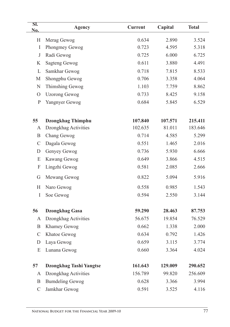| SI.<br>No.    | <b>Agency</b>            | <b>Current</b> | Capital | <b>Total</b> |
|---------------|--------------------------|----------------|---------|--------------|
| H             | Merag Gewog              | 0.634          | 2.890   | 3.524        |
| $\bf{I}$      | Phongmey Gewog           | 0.723          | 4.595   | 5.318        |
| $\bf J$       | Radi Gewog               | 0.725          | 6.000   | 6.725        |
| K             | <b>Sagteng Gewog</b>     | 0.611          | 3.880   | 4.491        |
| L             | Samkhar Gewog            | 0.718          | 7.815   | 8.533        |
| M             | Shongphu Gewog           | 0.706          | 3.358   | 4.064        |
| ${\bf N}$     | Thimshing Gewog          | 1.103          | 7.759   | 8.862        |
| $\mathcal{O}$ | <b>Uzorong Gewog</b>     | 0.733          | 8.425   | 9.158        |
| $\mathbf{P}$  | Yangnyer Gewog           | 0.684          | 5.845   | 6.529        |
| 55            | <b>Dzongkhag Thimphu</b> | 107.840        | 107.571 | 215.411      |
| A             | Dzongkhag Activities     | 102.635        | 81.011  | 183.646      |
| B             | Chang Gewog              | 0.714          | 4.585   | 5.299        |
| $\mathcal{C}$ | Dagala Gewog             | 0.551          | 1.465   | 2.016        |
| D             | Genyey Gewog             | 0.736          | 5.930   | 6.666        |
| E             | Kawang Gewog             | 0.649          | 3.866   | 4.515        |
| F             | Lingzhi Gewog            | 0.581          | 2.085   | 2.666        |
| G             | Mewang Gewog             | 0.822          | 5.094   | 5.916        |
| H             | Naro Gewog               | 0.558          | 0.985   | 1.543        |
| $\mathbf I$   | Soe Gewog                | 0.594          | 2.550   | 3.144        |
| 56            | <b>Dzongkhag Gasa</b>    | 59.290         | 28.463  | 87.753       |
| A             | Dzongkhag Activities     | 56.675         | 19.854  | 76.529       |
| B.            | Khamey Gewog             | 0.662          | 1.338   | 2.000        |
| C             | Khatoe Gewog             | 0.634          | 0.792   | 1.426        |
| D             | Laya Gewog               | 0.659          | 3.115   | 3.774        |
| E             | Lunana Gewog             | 0.660          | 3.364   | 4.024        |
| 57            | Dzongkhag Tashi Yangtse  | 161.643        | 129.009 | 290.652      |
| A             | Dzongkhag Activities     | 156.789        | 99.820  | 256.609      |
| B             | <b>Bumdeling Gewog</b>   | 0.628          | 3.366   | 3.994        |
| $\mathcal{C}$ | Jamkhar Gewog            | 0.591          | 3.525   | 4.116        |